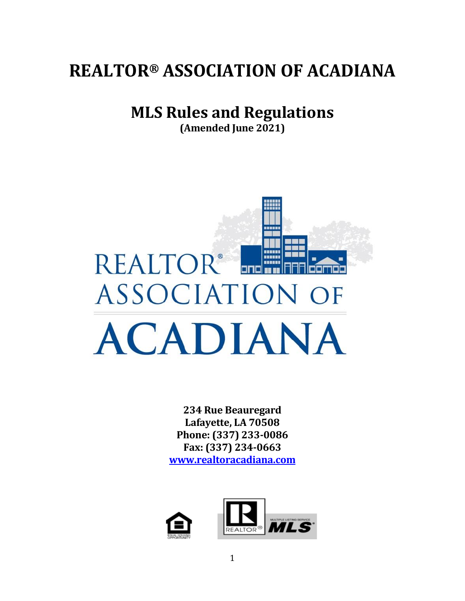# **REALTOR® ASSOCIATION OF ACADIANA**

# **MLS Rules and Regulations**

**(Amended June 2021)**



**234 Rue Beauregard Lafayette, LA 70508 Phone: (337) 233-0086 Fax: (337) 234-0663 [www.realtoracadiana.com](http://www.realtoracadiana.com/)**

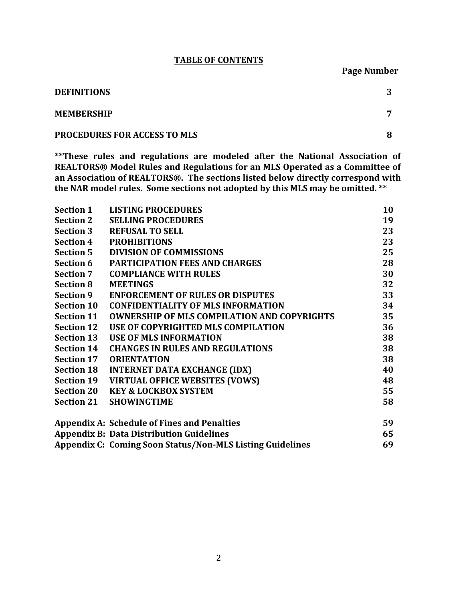#### **TABLE OF CONTENTS**

**Page Number**

| <b>DEFINITIONS</b>                  |  |
|-------------------------------------|--|
| <b>MEMBERSHIP</b>                   |  |
| <b>PROCEDURES FOR ACCESS TO MLS</b> |  |

**\*\*These rules and regulations are modeled after the National Association of REALTORS® Model Rules and Regulations for an MLS Operated as a Committee of an Association of REALTORS®. The sections listed below directly correspond with the NAR model rules. Some sections not adopted by this MLS may be omitted. \*\***

| <b>Section 1</b>  | <b>LISTING PROCEDURES</b>                                        | 10 |
|-------------------|------------------------------------------------------------------|----|
| <b>Section 2</b>  | <b>SELLING PROCEDURES</b>                                        | 19 |
| <b>Section 3</b>  | <b>REFUSAL TO SELL</b>                                           | 23 |
| <b>Section 4</b>  | <b>PROHIBITIONS</b>                                              | 23 |
| <b>Section 5</b>  | <b>DIVISION OF COMMISSIONS</b>                                   | 25 |
| Section 6         | <b>PARTICIPATION FEES AND CHARGES</b>                            | 28 |
| <b>Section 7</b>  | <b>COMPLIANCE WITH RULES</b>                                     | 30 |
| <b>Section 8</b>  | <b>MEETINGS</b>                                                  | 32 |
| <b>Section 9</b>  | <b>ENFORCEMENT OF RULES OR DISPUTES</b>                          | 33 |
| <b>Section 10</b> | <b>CONFIDENTIALITY OF MLS INFORMATION</b>                        | 34 |
| <b>Section 11</b> | <b>OWNERSHIP OF MLS COMPILATION AND COPYRIGHTS</b>               | 35 |
| <b>Section 12</b> | USE OF COPYRIGHTED MLS COMPILATION                               | 36 |
| <b>Section 13</b> | <b>USE OF MLS INFORMATION</b>                                    | 38 |
| <b>Section 14</b> | <b>CHANGES IN RULES AND REGULATIONS</b>                          | 38 |
| <b>Section 17</b> | <b>ORIENTATION</b>                                               | 38 |
| <b>Section 18</b> | <b>INTERNET DATA EXCHANGE (IDX)</b>                              | 40 |
| <b>Section 19</b> | <b>VIRTUAL OFFICE WEBSITES (VOWS)</b>                            | 48 |
| <b>Section 20</b> | <b>KEY &amp; LOCKBOX SYSTEM</b>                                  | 55 |
| <b>Section 21</b> | <b>SHOWINGTIME</b>                                               | 58 |
|                   | <b>Appendix A: Schedule of Fines and Penalties</b>               | 59 |
|                   | <b>Appendix B: Data Distribution Guidelines</b>                  | 65 |
|                   | <b>Appendix C: Coming Soon Status/Non-MLS Listing Guidelines</b> | 69 |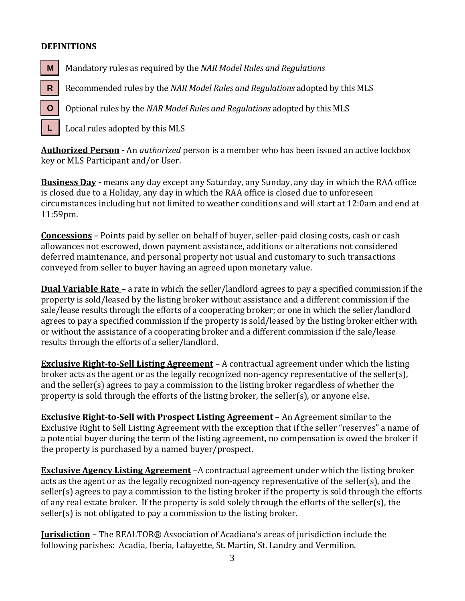#### **DEFINITIONS**

**L**

Mandatory rules as required by the *NAR Model Rules and Regulations*  **M**

 Recommended rules by the *NAR Model Rules and Regulations* adopted by this MLS **R**

 Optional rules by the *NAR Model Rules and Regulations* adopted by this MLS **O**

Local rules adopted by this MLS

**Authorized Person -** An *authorized* person is a member who has been issued an active lockbox key or MLS Participant and/or User.

**Business Day -** means any day except any Saturday, any Sunday, any day in which the RAA office is closed due to a Holiday, any day in which the RAA office is closed due to unforeseen circumstances including but not limited to weather conditions and will start at 12:0am and end at 11:59pm.

**Concessions –** Points paid by seller on behalf of buyer, seller-paid closing costs, cash or cash allowances not escrowed, down payment assistance, additions or alterations not considered deferred maintenance, and personal property not usual and customary to such transactions conveyed from seller to buyer having an agreed upon monetary value.

**Dual Variable Rate –** a rate in which the seller/landlord agrees to pay a specified commission if the property is sold/leased by the listing broker without assistance and a different commission if the sale/lease results through the efforts of a cooperating broker; or one in which the seller/landlord agrees to pay a specified commission if the property is sold/leased by the listing broker either with or without the assistance of a cooperating broker and a different commission if the sale/lease results through the efforts of a seller/landlord.

**Exclusive Right-to-Sell Listing Agreement** – A contractual agreement under which the listing broker acts as the agent or as the legally recognized non-agency representative of the seller(s), and the seller(s) agrees to pay a commission to the listing broker regardless of whether the property is sold through the efforts of the listing broker, the seller(s), or anyone else.

**Exclusive Right-to-Sell with Prospect Listing Agreement** – An Agreement similar to the Exclusive Right to Sell Listing Agreement with the exception that if the seller "reserves" a name of a potential buyer during the term of the listing agreement, no compensation is owed the broker if the property is purchased by a named buyer/prospect.

**Exclusive Agency Listing Agreement** –A contractual agreement under which the listing broker acts as the agent or as the legally recognized non-agency representative of the seller(s), and the seller(s) agrees to pay a commission to the listing broker if the property is sold through the efforts of any real estate broker. If the property is sold solely through the efforts of the seller(s), the seller(s) is not obligated to pay a commission to the listing broker.

**Jurisdiction –** The REALTOR® Association of Acadiana's areas of jurisdiction include the following parishes: Acadia, Iberia, Lafayette, St. Martin, St. Landry and Vermilion.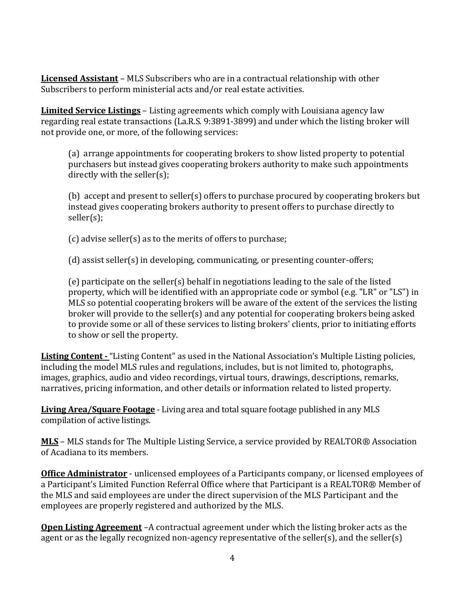**Licensed Assistant** – MLS Subscribers who are in a contractual relationship with other Subscribers to perform ministerial acts and/or real estate activities.

**Limited Service Listings** – Listing agreements which comply with Louisiana agency law regarding real estate transactions (La.R.S. 9:3891-3899) and under which the listing broker will not provide one, or more, of the following services:

(a) arrange appointments for cooperating brokers to show listed property to potential purchasers but instead gives cooperating brokers authority to make such appointments directly with the seller(s);

(b) accept and present to seller(s) offers to purchase procured by cooperating brokers but instead gives cooperating brokers authority to present offers to purchase directly to seller(s);

(c) advise seller(s) as to the merits of offers to purchase;

(d) assist seller(s) in developing, communicating, or presenting counter-offers;

(e) participate on the seller(s) behalf in negotiations leading to the sale of the listed property, which will be identified with an appropriate code or symbol (e.g. "LR" or "LS") in MLS so potential cooperating brokers will be aware of the extent of the services the listing broker will provide to the seller(s) and any potential for cooperating brokers being asked to provide some or all of these services to listing brokers' clients, prior to initiating efforts to show or sell the property.

**Listing Content -** "Listing Content" as used in the National Association's Multiple Listing policies, including the model MLS rules and regulations, includes, but is not limited to, photographs, images, graphics, audio and video recordings, virtual tours, drawings, descriptions, remarks, narratives, pricing information, and other details or information related to listed property.

**Living Area/Square Footage** - Living area and total square footage published in any MLS compilation of active listings.

**MLS** – MLS stands for The Multiple Listing Service, a service provided by REALTOR® Association of Acadiana to its members.

**Office Administrator** - unlicensed employees of a Participants company, or licensed employees of a Participant's Limited Function Referral Office where that Participant is a REALTOR® Member of the MLS and said employees are under the direct supervision of the MLS Participant and the employees are properly registered and authorized by the MLS.

**Open Listing Agreement** –A contractual agreement under which the listing broker acts as the agent or as the legally recognized non-agency representative of the seller(s), and the seller(s)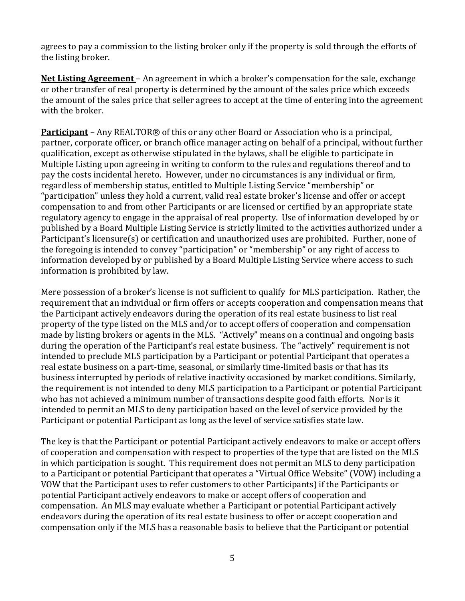agrees to pay a commission to the listing broker only if the property is sold through the efforts of the listing broker.

**Net Listing Agreement** – An agreement in which a broker's compensation for the sale, exchange or other transfer of real property is determined by the amount of the sales price which exceeds the amount of the sales price that seller agrees to accept at the time of entering into the agreement with the broker.

**Participant** – Any REALTOR® of this or any other Board or Association who is a principal, partner, corporate officer, or branch office manager acting on behalf of a principal, without further qualification, except as otherwise stipulated in the bylaws, shall be eligible to participate in Multiple Listing upon agreeing in writing to conform to the rules and regulations thereof and to pay the costs incidental hereto. However, under no circumstances is any individual or firm, regardless of membership status, entitled to Multiple Listing Service "membership" or "participation" unless they hold a current, valid real estate broker's license and offer or accept compensation to and from other Participants or are licensed or certified by an appropriate state regulatory agency to engage in the appraisal of real property. Use of information developed by or published by a Board Multiple Listing Service is strictly limited to the activities authorized under a Participant's licensure(s) or certification and unauthorized uses are prohibited. Further, none of the foregoing is intended to convey "participation" or "membership" or any right of access to information developed by or published by a Board Multiple Listing Service where access to such information is prohibited by law.

Mere possession of a broker's license is not sufficient to qualify for MLS participation. Rather, the requirement that an individual or firm offers or accepts cooperation and compensation means that the Participant actively endeavors during the operation of its real estate business to list real property of the type listed on the MLS and/or to accept offers of cooperation and compensation made by listing brokers or agents in the MLS. "Actively" means on a continual and ongoing basis during the operation of the Participant's real estate business. The "actively" requirement is not intended to preclude MLS participation by a Participant or potential Participant that operates a real estate business on a part-time, seasonal, or similarly time-limited basis or that has its business interrupted by periods of relative inactivity occasioned by market conditions. Similarly, the requirement is not intended to deny MLS participation to a Participant or potential Participant who has not achieved a minimum number of transactions despite good faith efforts. Nor is it intended to permit an MLS to deny participation based on the level of service provided by the Participant or potential Participant as long as the level of service satisfies state law.

The key is that the Participant or potential Participant actively endeavors to make or accept offers of cooperation and compensation with respect to properties of the type that are listed on the MLS in which participation is sought. This requirement does not permit an MLS to deny participation to a Participant or potential Participant that operates a "Virtual Office Website" (VOW) including a VOW that the Participant uses to refer customers to other Participants) if the Participants or potential Participant actively endeavors to make or accept offers of cooperation and compensation. An MLS may evaluate whether a Participant or potential Participant actively endeavors during the operation of its real estate business to offer or accept cooperation and compensation only if the MLS has a reasonable basis to believe that the Participant or potential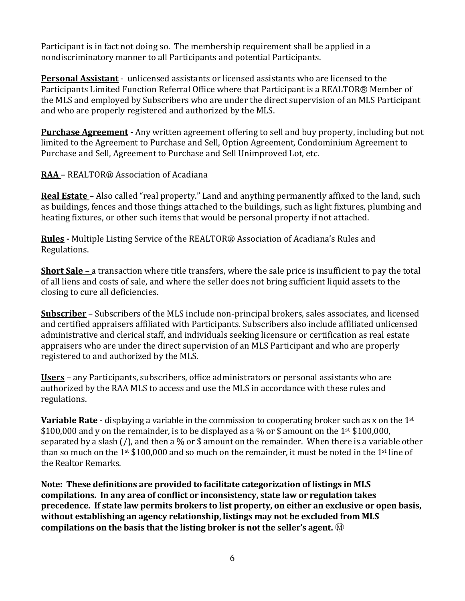Participant is in fact not doing so. The membership requirement shall be applied in a nondiscriminatory manner to all Participants and potential Participants.

**Personal Assistant** - unlicensed assistants or licensed assistants who are licensed to the Participants Limited Function Referral Office where that Participant is a REALTOR® Member of the MLS and employed by Subscribers who are under the direct supervision of an MLS Participant and who are properly registered and authorized by the MLS.

**Purchase Agreement -** Any written agreement offering to sell and buy property, including but not limited to the Agreement to Purchase and Sell, Option Agreement, Condominium Agreement to Purchase and Sell, Agreement to Purchase and Sell Unimproved Lot, etc.

**RAA –** REALTOR® Association of Acadiana

**Real Estate** – Also called "real property." Land and anything permanently affixed to the land, such as buildings, fences and those things attached to the buildings, such as light fixtures, plumbing and heating fixtures, or other such items that would be personal property if not attached.

**Rules -** Multiple Listing Service of the REALTOR® Association of Acadiana's Rules and Regulations.

**Short Sale –** a transaction where title transfers, where the sale price is insufficient to pay the total of all liens and costs of sale, and where the seller does not bring sufficient liquid assets to the closing to cure all deficiencies.

**Subscriber** – Subscribers of the MLS include non-principal brokers, sales associates, and licensed and certified appraisers affiliated with Participants. Subscribers also include affiliated unlicensed administrative and clerical staff, and individuals seeking licensure or certification as real estate appraisers who are under the direct supervision of an MLS Participant and who are properly registered to and authorized by the MLS.

**Users** – any Participants, subscribers, office administrators or personal assistants who are authorized by the RAA MLS to access and use the MLS in accordance with these rules and regulations.

**Variable Rate** - displaying a variable in the commission to cooperating broker such as x on the 1st \$100,000 and y on the remainder, is to be displayed as a % or \$ amount on the 1st \$100,000, separated by a slash (/), and then a % or \$ amount on the remainder. When there is a variable other than so much on the 1<sup>st</sup> \$100,000 and so much on the remainder, it must be noted in the 1<sup>st</sup> line of the Realtor Remarks.

**Note: These definitions are provided to facilitate categorization of listings in MLS compilations. In any area of conflict or inconsistency, state law or regulation takes precedence. If state law permits brokers to list property, on either an exclusive or open basis, without establishing an agency relationship, listings may not be excluded from MLS compilations on the basis that the listing broker is not the seller's agent.** Ⓜ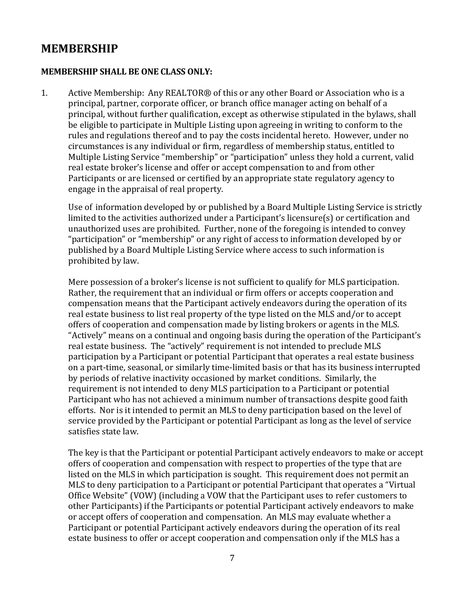# **MEMBERSHIP**

#### **MEMBERSHIP SHALL BE ONE CLASS ONLY:**

1. Active Membership: Any REALTOR® of this or any other Board or Association who is a principal, partner, corporate officer, or branch office manager acting on behalf of a principal, without further qualification, except as otherwise stipulated in the bylaws, shall be eligible to participate in Multiple Listing upon agreeing in writing to conform to the rules and regulations thereof and to pay the costs incidental hereto. However, under no circumstances is any individual or firm, regardless of membership status, entitled to Multiple Listing Service "membership" or "participation" unless they hold a current, valid real estate broker's license and offer or accept compensation to and from other Participants or are licensed or certified by an appropriate state regulatory agency to engage in the appraisal of real property.

Use of information developed by or published by a Board Multiple Listing Service is strictly limited to the activities authorized under a Participant's licensure(s) or certification and unauthorized uses are prohibited. Further, none of the foregoing is intended to convey "participation" or "membership" or any right of access to information developed by or published by a Board Multiple Listing Service where access to such information is prohibited by law.

Mere possession of a broker's license is not sufficient to qualify for MLS participation. Rather, the requirement that an individual or firm offers or accepts cooperation and compensation means that the Participant actively endeavors during the operation of its real estate business to list real property of the type listed on the MLS and/or to accept offers of cooperation and compensation made by listing brokers or agents in the MLS. "Actively" means on a continual and ongoing basis during the operation of the Participant's real estate business. The "actively" requirement is not intended to preclude MLS participation by a Participant or potential Participant that operates a real estate business on a part-time, seasonal, or similarly time-limited basis or that has its business interrupted by periods of relative inactivity occasioned by market conditions. Similarly, the requirement is not intended to deny MLS participation to a Participant or potential Participant who has not achieved a minimum number of transactions despite good faith efforts. Nor is it intended to permit an MLS to deny participation based on the level of service provided by the Participant or potential Participant as long as the level of service satisfies state law.

The key is that the Participant or potential Participant actively endeavors to make or accept offers of cooperation and compensation with respect to properties of the type that are listed on the MLS in which participation is sought. This requirement does not permit an MLS to deny participation to a Participant or potential Participant that operates a "Virtual Office Website" (VOW) (including a VOW that the Participant uses to refer customers to other Participants) if the Participants or potential Participant actively endeavors to make or accept offers of cooperation and compensation. An MLS may evaluate whether a Participant or potential Participant actively endeavors during the operation of its real estate business to offer or accept cooperation and compensation only if the MLS has a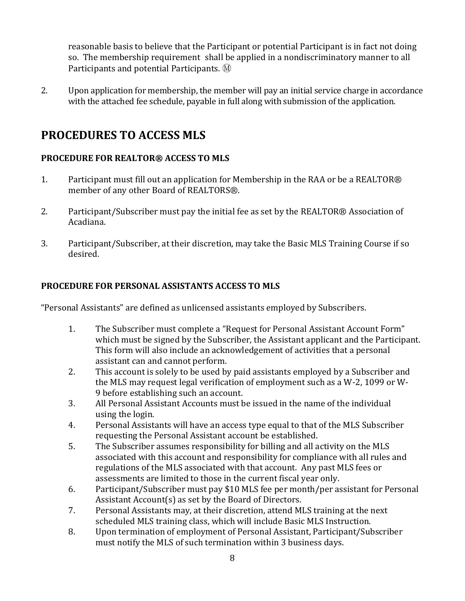reasonable basis to believe that the Participant or potential Participant is in fact not doing so. The membership requirement shall be applied in a nondiscriminatory manner to all Participants and potential Participants.  $\mathcal{M}$ 

2. Upon application for membership, the member will pay an initial service charge in accordance with the attached fee schedule, payable in full along with submission of the application.

# **PROCEDURES TO ACCESS MLS**

### **PROCEDURE FOR REALTOR® ACCESS TO MLS**

- 1. Participant must fill out an application for Membership in the RAA or be a REALTOR® member of any other Board of REALTORS®.
- 2. Participant/Subscriber must pay the initial fee as set by the REALTOR® Association of Acadiana.
- 3. Participant/Subscriber, at their discretion, may take the Basic MLS Training Course if so desired.

### **PROCEDURE FOR PERSONAL ASSISTANTS ACCESS TO MLS**

"Personal Assistants" are defined as unlicensed assistants employed by Subscribers.

- 1. The Subscriber must complete a "Request for Personal Assistant Account Form" which must be signed by the Subscriber, the Assistant applicant and the Participant. This form will also include an acknowledgement of activities that a personal assistant can and cannot perform.
- 2. This account is solely to be used by paid assistants employed by a Subscriber and the MLS may request legal verification of employment such as a W-2, 1099 or W-9 before establishing such an account.
- 3. All Personal Assistant Accounts must be issued in the name of the individual using the login.
- 4. Personal Assistants will have an access type equal to that of the MLS Subscriber requesting the Personal Assistant account be established.
- 5. The Subscriber assumes responsibility for billing and all activity on the MLS associated with this account and responsibility for compliance with all rules and regulations of the MLS associated with that account. Any past MLS fees or assessments are limited to those in the current fiscal year only.
- 6. Participant/Subscriber must pay \$10 MLS fee per month/per assistant for Personal Assistant Account(s) as set by the Board of Directors.
- 7. Personal Assistants may, at their discretion, attend MLS training at the next scheduled MLS training class, which will include Basic MLS Instruction.
- 8. Upon termination of employment of Personal Assistant, Participant/Subscriber must notify the MLS of such termination within 3 business days.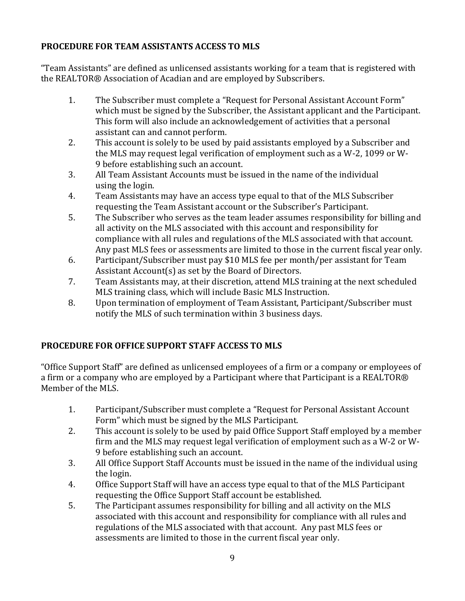### **PROCEDURE FOR TEAM ASSISTANTS ACCESS TO MLS**

"Team Assistants" are defined as unlicensed assistants working for a team that is registered with the REALTOR® Association of Acadian and are employed by Subscribers.

- 1. The Subscriber must complete a "Request for Personal Assistant Account Form" which must be signed by the Subscriber, the Assistant applicant and the Participant. This form will also include an acknowledgement of activities that a personal assistant can and cannot perform.
- 2. This account is solely to be used by paid assistants employed by a Subscriber and the MLS may request legal verification of employment such as a W-2, 1099 or W-9 before establishing such an account.
- 3. All Team Assistant Accounts must be issued in the name of the individual using the login.
- 4. Team Assistants may have an access type equal to that of the MLS Subscriber requesting the Team Assistant account or the Subscriber's Participant.
- 5. The Subscriber who serves as the team leader assumes responsibility for billing and all activity on the MLS associated with this account and responsibility for compliance with all rules and regulations of the MLS associated with that account. Any past MLS fees or assessments are limited to those in the current fiscal year only.
- 6. Participant/Subscriber must pay \$10 MLS fee per month/per assistant for Team Assistant Account(s) as set by the Board of Directors.
- 7. Team Assistants may, at their discretion, attend MLS training at the next scheduled MLS training class, which will include Basic MLS Instruction.
- 8. Upon termination of employment of Team Assistant, Participant/Subscriber must notify the MLS of such termination within 3 business days.

# **PROCEDURE FOR OFFICE SUPPORT STAFF ACCESS TO MLS**

"Office Support Staff" are defined as unlicensed employees of a firm or a company or employees of a firm or a company who are employed by a Participant where that Participant is a REALTOR® Member of the MLS.

- 1. Participant/Subscriber must complete a "Request for Personal Assistant Account Form" which must be signed by the MLS Participant.
- 2. This account is solely to be used by paid Office Support Staff employed by a member firm and the MLS may request legal verification of employment such as a W-2 or W-9 before establishing such an account.
- 3. All Office Support Staff Accounts must be issued in the name of the individual using the login.
- 4. Office Support Staff will have an access type equal to that of the MLS Participant requesting the Office Support Staff account be established.
- 5. The Participant assumes responsibility for billing and all activity on the MLS associated with this account and responsibility for compliance with all rules and regulations of the MLS associated with that account. Any past MLS fees or assessments are limited to those in the current fiscal year only.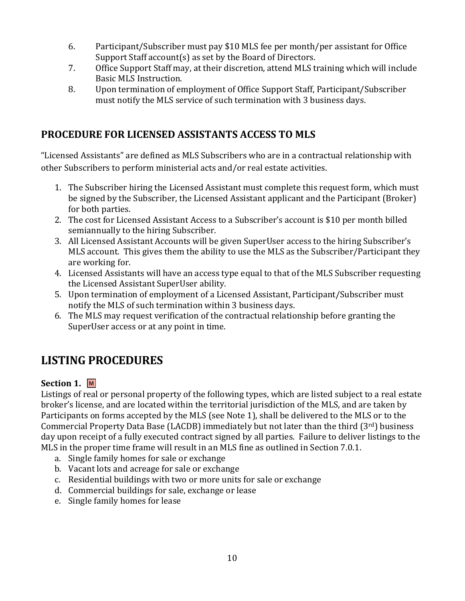- 6. Participant/Subscriber must pay \$10 MLS fee per month/per assistant for Office Support Staff account(s) as set by the Board of Directors.
- 7. Office Support Staff may, at their discretion, attend MLS training which will include Basic MLS Instruction.
- 8. Upon termination of employment of Office Support Staff, Participant/Subscriber must notify the MLS service of such termination with 3 business days.

# **PROCEDURE FOR LICENSED ASSISTANTS ACCESS TO MLS**

"Licensed Assistants" are defined as MLS Subscribers who are in a contractual relationship with other Subscribers to perform ministerial acts and/or real estate activities.

- 1. The Subscriber hiring the Licensed Assistant must complete this request form, which must be signed by the Subscriber, the Licensed Assistant applicant and the Participant (Broker) for both parties.
- 2. The cost for Licensed Assistant Access to a Subscriber's account is \$10 per month billed semiannually to the hiring Subscriber.
- 3. All Licensed Assistant Accounts will be given SuperUser access to the hiring Subscriber's MLS account. This gives them the ability to use the MLS as the Subscriber/Participant they are working for.
- 4. Licensed Assistants will have an access type equal to that of the MLS Subscriber requesting the Licensed Assistant SuperUser ability.
- 5. Upon termination of employment of a Licensed Assistant, Participant/Subscriber must notify the MLS of such termination within 3 business days.
- 6. The MLS may request verification of the contractual relationship before granting the SuperUser access or at any point in time.

# **LISTING PROCEDURES**

# **Section 1. M**

Listings of real or personal property of the following types, which are listed subject to a real estate broker's license, and are located within the territorial jurisdiction of the MLS, and are taken by Participants on forms accepted by the MLS (see Note 1), shall be delivered to the MLS or to the Commercial Property Data Base (LACDB) immediately but not later than the third (3rd) business day upon receipt of a fully executed contract signed by all parties. Failure to deliver listings to the MLS in the proper time frame will result in an MLS fine as outlined in Section 7.0.1.

- a. Single family homes for sale or exchange
- b. Vacant lots and acreage for sale or exchange
- c. Residential buildings with two or more units for sale or exchange
- d. Commercial buildings for sale, exchange or lease
- e. Single family homes for lease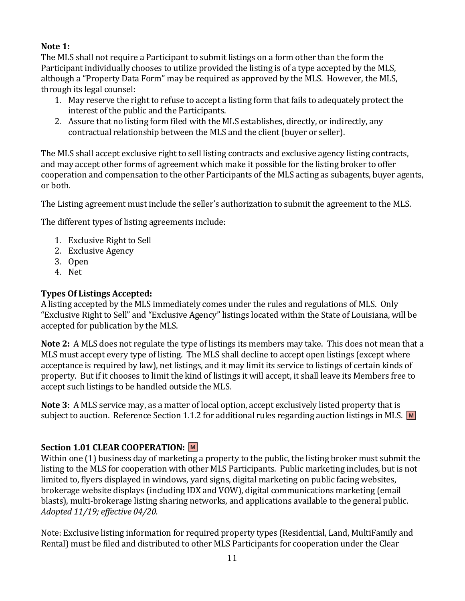### **Note 1:**

The MLS shall not require a Participant to submit listings on a form other than the form the Participant individually chooses to utilize provided the listing is of a type accepted by the MLS, although a "Property Data Form" may be required as approved by the MLS. However, the MLS, through its legal counsel:

- 1. May reserve the right to refuse to accept a listing form that fails to adequately protect the interest of the public and the Participants.
- 2. Assure that no listing form filed with the MLS establishes, directly, or indirectly, any contractual relationship between the MLS and the client (buyer or seller).

The MLS shall accept exclusive right to sell listing contracts and exclusive agency listing contracts, and may accept other forms of agreement which make it possible for the listing broker to offer cooperation and compensation to the other Participants of the MLS acting as subagents, buyer agents, or both.

The Listing agreement must include the seller's authorization to submit the agreement to the MLS.

The different types of listing agreements include:

- 1. Exclusive Right to Sell
- 2. Exclusive Agency
- 3. Open
- 4. Net

# **Types Of Listings Accepted:**

A listing accepted by the MLS immediately comes under the rules and regulations of MLS. Only "Exclusive Right to Sell" and "Exclusive Agency" listings located within the State of Louisiana, will be accepted for publication by the MLS.

**Note 2:** A MLS does not regulate the type of listings its members may take. This does not mean that a MLS must accept every type of listing. The MLS shall decline to accept open listings (except where acceptance is required by law), net listings, and it may limit its service to listings of certain kinds of property. But if it chooses to limit the kind of listings it will accept, it shall leave its Members free to accept such listings to be handled outside the MLS.

**Note 3**: A MLS service may, as a matter of local option, accept exclusively listed property that is subject to auction. Reference Section 1.1.2 for additional rules regarding auction listings in MLS. M

# **Section 1.01 CLEAR COOPERATION: M**

Within one (1) business day of marketing a property to the public, the listing broker must submit the listing to the MLS for cooperation with other MLS Participants. Public marketing includes, but is not limited to, flyers displayed in windows, yard signs, digital marketing on public facing websites, brokerage website displays (including IDX and VOW), digital communications marketing (email blasts), multi-brokerage listing sharing networks, and applications available to the general public. *Adopted 11/19; effective 04/20.* 

Note: Exclusive listing information for required property types (Residential, Land, MultiFamily and Rental) must be filed and distributed to other MLS Participants for cooperation under the Clear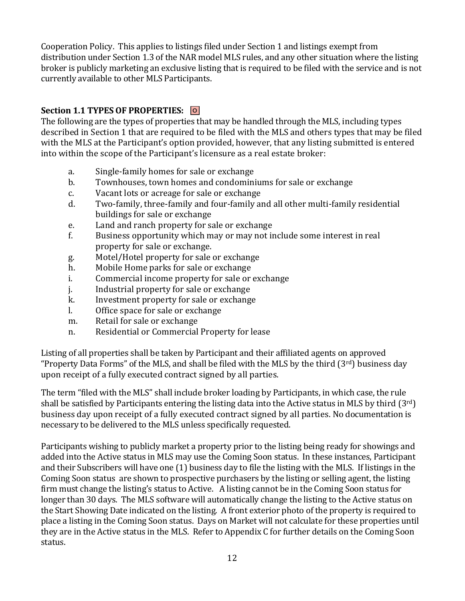Cooperation Policy. This applies to listings filed under Section 1 and listings exempt from distribution under Section 1.3 of the NAR model MLS rules, and any other situation where the listing broker is publicly marketing an exclusive listing that is required to be filed with the service and is not currently available to other MLS Participants.

# **Section 1.1 TYPES OF PROPERTIES: O**

The following are the types of properties that may be handled through the MLS, including types described in Section 1 that are required to be filed with the MLS and others types that may be filed with the MLS at the Participant's option provided, however, that any listing submitted is entered into within the scope of the Participant's licensure as a real estate broker:

- a. Single-family homes for sale or exchange
- b. Townhouses, town homes and condominiums for sale or exchange
- c. Vacant lots or acreage for sale or exchange
- d. Two-family, three-family and four-family and all other multi-family residential buildings for sale or exchange
- e. Land and ranch property for sale or exchange
- f. Business opportunity which may or may not include some interest in real property for sale or exchange.
- g. Motel/Hotel property for sale or exchange
- h. Mobile Home parks for sale or exchange
- i. Commercial income property for sale or exchange
- j. Industrial property for sale or exchange
- k. Investment property for sale or exchange
- l. Office space for sale or exchange
- m. Retail for sale or exchange
- n. Residential or Commercial Property for lease

Listing of all properties shall be taken by Participant and their affiliated agents on approved "Property Data Forms" of the MLS, and shall be filed with the MLS by the third (3rd) business day upon receipt of a fully executed contract signed by all parties.

The term "filed with the MLS" shall include broker loading by Participants, in which case, the rule shall be satisfied by Participants entering the listing data into the Active status in MLS by third  $(3^{rd})$ business day upon receipt of a fully executed contract signed by all parties. No documentation is necessary to be delivered to the MLS unless specifically requested.

Participants wishing to publicly market a property prior to the listing being ready for showings and added into the Active status in MLS may use the Coming Soon status. In these instances, Participant and their Subscribers will have one (1) business day to file the listing with the MLS. If listings in the Coming Soon status are shown to prospective purchasers by the listing or selling agent, the listing firm must change the listing's status to Active. A listing cannot be in the Coming Soon status for longer than 30 days. The MLS software will automatically change the listing to the Active status on the Start Showing Date indicated on the listing. A front exterior photo of the property is required to place a listing in the Coming Soon status. Days on Market will not calculate for these properties until they are in the Active status in the MLS. Refer to Appendix C for further details on the Coming Soon status.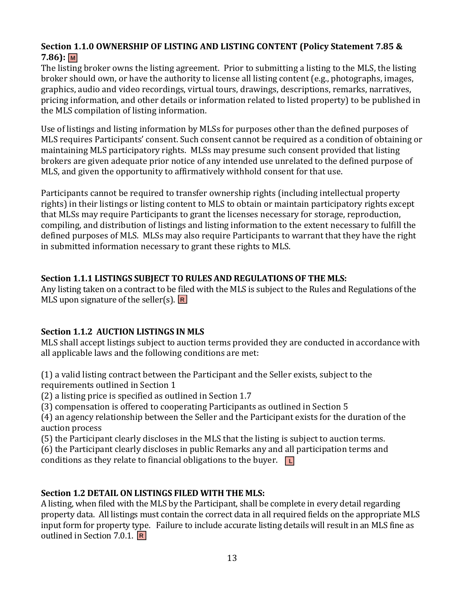### **Section 1.1.0 OWNERSHIP OF LISTING AND LISTING CONTENT (Policy Statement 7.85 & 7.86): M**

The listing broker owns the listing agreement. Prior to submitting a listing to the MLS, the listing broker should own, or have the authority to license all listing content (e.g., photographs, images, graphics, audio and video recordings, virtual tours, drawings, descriptions, remarks, narratives, pricing information, and other details or information related to listed property) to be published in the MLS compilation of listing information.

Use of listings and listing information by MLSs for purposes other than the defined purposes of MLS requires Participants' consent. Such consent cannot be required as a condition of obtaining or maintaining MLS participatory rights. MLSs may presume such consent provided that listing brokers are given adequate prior notice of any intended use unrelated to the defined purpose of MLS, and given the opportunity to affirmatively withhold consent for that use.

Participants cannot be required to transfer ownership rights (including intellectual property rights) in their listings or listing content to MLS to obtain or maintain participatory rights except that MLSs may require Participants to grant the licenses necessary for storage, reproduction, compiling, and distribution of listings and listing information to the extent necessary to fulfill the defined purposes of MLS. MLSs may also require Participants to warrant that they have the right in submitted information necessary to grant these rights to MLS.

#### **Section 1.1.1 LISTINGS SUBJECT TO RULES AND REGULATIONS OF THE MLS:**

Any listing taken on a contract to be filed with the MLS is subject to the Rules and Regulations of the MLS upon signature of the seller(s). **R**

# **Section 1.1.2 AUCTION LISTINGS IN MLS**

MLS shall accept listings subject to auction terms provided they are conducted in accordance with all applicable laws and the following conditions are met:

(1) a valid listing contract between the Participant and the Seller exists, subject to the requirements outlined in Section 1

(2) a listing price is specified as outlined in Section 1.7

(3) compensation is offered to cooperating Participants as outlined in Section 5

(4) an agency relationship between the Seller and the Participant exists for the duration of the auction process

(5) the Participant clearly discloses in the MLS that the listing is subject to auction terms.

(6) the Participant clearly discloses in public Remarks any and all participation terms and conditions as they relate to financial obligations to the buyer. **L**

# **Section 1.2 DETAIL ON LISTINGS FILED WITH THE MLS:**

A listing, when filed with the MLS by the Participant, shall be complete in every detail regarding property data. All listings must contain the correct data in all required fields on the appropriate MLS input form for property type. Failure to include accurate listing details will result in an MLS fine as outlined in Section 7.0.1. **R**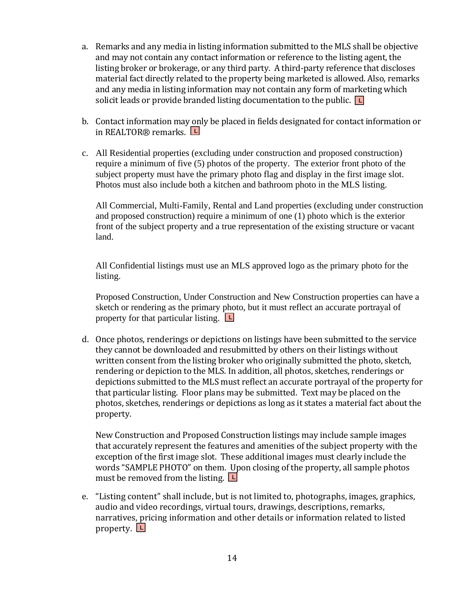- a. Remarks and any media in listing information submitted to the MLS shall be objective and may not contain any contact information or reference to the listing agent, the listing broker or brokerage, or any third party. A third-party reference that discloses material fact directly related to the property being marketed is allowed. Also, remarks and any media in listing information may not contain any form of marketing which solicit leads or provide branded listing documentation to the public. **L**
- b. Contact information may only be placed in fields designated for contact information or in REALTOR® remarks. **L**
- c. All Residential properties (excluding under construction and proposed construction) require a minimum of five (5) photos of the property. The exterior front photo of the subject property must have the primary photo flag and display in the first image slot. Photos must also include both a kitchen and bathroom photo in the MLS listing.

All Commercial, Multi-Family, Rental and Land properties (excluding under construction and proposed construction) require a minimum of one (1) photo which is the exterior front of the subject property and a true representation of the existing structure or vacant land.

All Confidential listings must use an MLS approved logo as the primary photo for the listing.

Proposed Construction, Under Construction and New Construction properties can have a sketch or rendering as the primary photo, but it must reflect an accurate portrayal of property for that particular listing. **L**

d. Once photos, renderings or depictions on listings have been submitted to the service they cannot be downloaded and resubmitted by others on their listings without written consent from the listing broker who originally submitted the photo, sketch, rendering or depiction to the MLS. In addition, all photos, sketches, renderings or depictions submitted to the MLS must reflect an accurate portrayal of the property for that particular listing. Floor plans may be submitted. Text may be placed on the photos, sketches, renderings or depictions as long as it states a material fact about the property.

New Construction and Proposed Construction listings may include sample images that accurately represent the features and amenities of the subject property with the exception of the first image slot. These additional images must clearly include the words "SAMPLE PHOTO" on them. Upon closing of the property, all sample photos must be removed from the listing. **L**

e. "Listing content" shall include, but is not limited to, photographs, images, graphics, audio and video recordings, virtual tours, drawings, descriptions, remarks, narratives, pricing information and other details or information related to listed property. **L**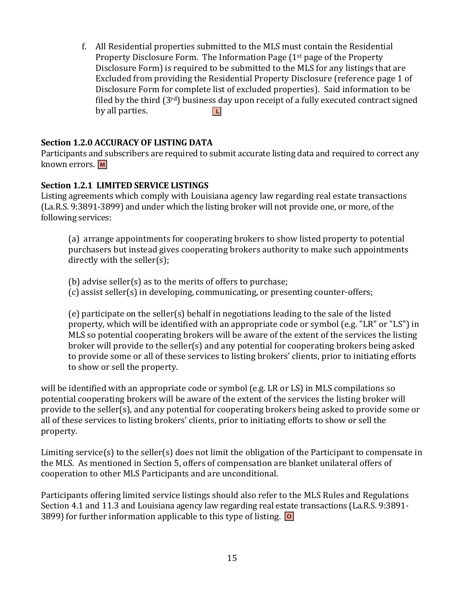f. All Residential properties submitted to the MLS must contain the Residential Property Disclosure Form. The Information Page  $(1^{st})$  page of the Property Disclosure Form) is required to be submitted to the MLS for any listings that are Excluded from providing the Residential Property Disclosure (reference page 1 of Disclosure Form for complete list of excluded properties). Said information to be filed by the third  $(3<sup>rd</sup>)$  business day upon receipt of a fully executed contract signed by all parties. **L**

#### **Section 1.2.0 ACCURACY OF LISTING DATA**

Participants and subscribers are required to submit accurate listing data and required to correct any known errors. **M**

#### **Section 1.2.1 LIMITED SERVICE LISTINGS**

Listing agreements which comply with Louisiana agency law regarding real estate transactions (La.R.S. 9:3891-3899) and under which the listing broker will not provide one, or more, of the following services:

(a) arrange appointments for cooperating brokers to show listed property to potential purchasers but instead gives cooperating brokers authority to make such appointments directly with the seller(s);

(b) advise seller(s) as to the merits of offers to purchase;

(c) assist seller(s) in developing, communicating, or presenting counter-offers;

(e) participate on the seller(s) behalf in negotiations leading to the sale of the listed property, which will be identified with an appropriate code or symbol (e.g. "LR" or "LS") in MLS so potential cooperating brokers will be aware of the extent of the services the listing broker will provide to the seller(s) and any potential for cooperating brokers being asked to provide some or all of these services to listing brokers' clients, prior to initiating efforts to show or sell the property.

will be identified with an appropriate code or symbol (e.g. LR or LS) in MLS compilations so potential cooperating brokers will be aware of the extent of the services the listing broker will provide to the seller(s), and any potential for cooperating brokers being asked to provide some or all of these services to listing brokers' clients, prior to initiating efforts to show or sell the property.

Limiting service(s) to the seller(s) does not limit the obligation of the Participant to compensate in the MLS. As mentioned in Section 5, offers of compensation are blanket unilateral offers of cooperation to other MLS Participants and are unconditional.

Participants offering limited service listings should also refer to the MLS Rules and Regulations Section 4.1 and 11.3 and Louisiana agency law regarding real estate transactions (La.R.S. 9:3891- 3899) for further information applicable to this type of listing. **O**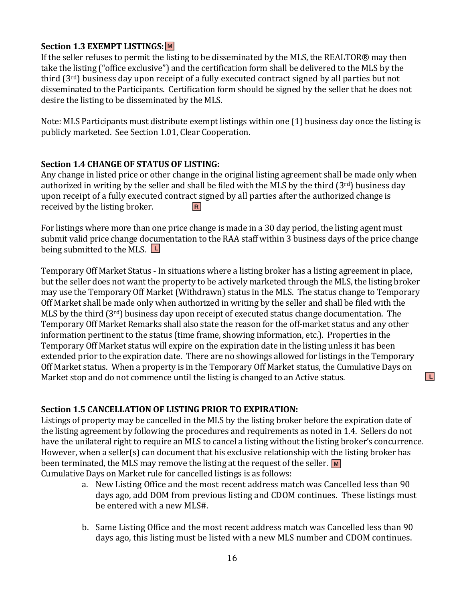### **Section 1.3 EXEMPT LISTINGS: M**

If the seller refuses to permit the listing to be disseminated by the MLS, the REALTOR® may then take the listing ("office exclusive") and the certification form shall be delivered to the MLS by the third (3rd) business day upon receipt of a fully executed contract signed by all parties but not disseminated to the Participants. Certification form should be signed by the seller that he does not desire the listing to be disseminated by the MLS.

Note: MLS Participants must distribute exempt listings within one (1) business day once the listing is publicly marketed. See Section 1.01, Clear Cooperation.

#### **Section 1.4 CHANGE OF STATUS OF LISTING:**

Any change in listed price or other change in the original listing agreement shall be made only when authorized in writing by the seller and shall be filed with the MLS by the third (3<sup>rd</sup>) business day upon receipt of a fully executed contract signed by all parties after the authorized change is received by the listing broker. **R**

For listings where more than one price change is made in a 30 day period, the listing agent must submit valid price change documentation to the RAA staff within 3 business days of the price change being submitted to the MLS. **L**

Temporary Off Market Status - In situations where a listing broker has a listing agreement in place, but the seller does not want the property to be actively marketed through the MLS, the listing broker may use the Temporary Off Market (Withdrawn) status in the MLS. The status change to Temporary Off Market shall be made only when authorized in writing by the seller and shall be filed with the MLS by the third (3rd) business day upon receipt of executed status change documentation. The Temporary Off Market Remarks shall also state the reason for the off-market status and any other information pertinent to the status (time frame, showing information, etc.). Properties in the Temporary Off Market status will expire on the expiration date in the listing unless it has been extended prior to the expiration date. There are no showings allowed for listings in the Temporary Off Market status. When a property is in the Temporary Off Market status, the Cumulative Days on Market stop and do not commence until the listing is changed to an Active status.

#### **Section 1.5 CANCELLATION OF LISTING PRIOR TO EXPIRATION:**

Listings of property may be cancelled in the MLS by the listing broker before the expiration date of the listing agreement by following the procedures and requirements as noted in 1.4. Sellers do not have the unilateral right to require an MLS to cancel a listing without the listing broker's concurrence. However, when a seller(s) can document that his exclusive relationship with the listing broker has been terminated, the MLS may remove the listing at the request of the seller. M Cumulative Days on Market rule for cancelled listings is as follows:

> a. New Listing Office and the most recent address match was Cancelled less than 90 days ago, add DOM from previous listing and CDOM continues. These listings must be entered with a new MLS#.

**L**

b. Same Listing Office and the most recent address match was Cancelled less than 90 days ago, this listing must be listed with a new MLS number and CDOM continues.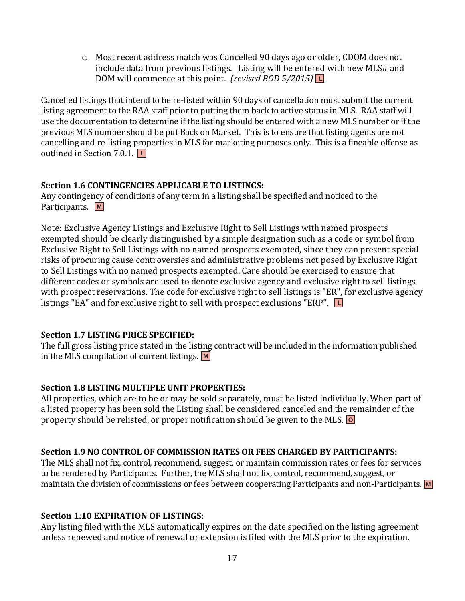c. Most recent address match was Cancelled 90 days ago or older, CDOM does not include data from previous listings. Listing will be entered with new MLS# and DOM will commence at this point. *(revised BOD 5/2015)* **L**

Cancelled listings that intend to be re-listed within 90 days of cancellation must submit the current listing agreement to the RAA staff prior to putting them back to active status in MLS. RAA staff will use the documentation to determine if the listing should be entered with a new MLS number or if the previous MLS number should be put Back on Market. This is to ensure that listing agents are not cancelling and re-listing properties in MLS for marketing purposes only. This is a fineable offense as outlined in Section 7.0.1. **L**

#### **Section 1.6 CONTINGENCIES APPLICABLE TO LISTINGS:**

Any contingency of conditions of any term in a listing shall be specified and noticed to the Participants. **M**

Note: Exclusive Agency Listings and Exclusive Right to Sell Listings with named prospects exempted should be clearly distinguished by a simple designation such as a code or symbol from Exclusive Right to Sell Listings with no named prospects exempted, since they can present special risks of procuring cause controversies and administrative problems not posed by Exclusive Right to Sell Listings with no named prospects exempted. Care should be exercised to ensure that different codes or symbols are used to denote exclusive agency and exclusive right to sell listings with prospect reservations. The code for exclusive right to sell listings is "ER", for exclusive agency listings "EA" and for exclusive right to sell with prospect exclusions "ERP". **L**

#### **Section 1.7 LISTING PRICE SPECIFIED:**

The full gross listing price stated in the listing contract will be included in the information published in the MLS compilation of current listings. **M**

#### **Section 1.8 LISTING MULTIPLE UNIT PROPERTIES:**

All properties, which are to be or may be sold separately, must be listed individually. When part of a listed property has been sold the Listing shall be considered canceled and the remainder of the property should be relisted, or proper notification should be given to the MLS. **O**

#### **Section 1.9 NO CONTROL OF COMMISSION RATES OR FEES CHARGED BY PARTICIPANTS:**

The MLS shall not fix, control, recommend, suggest, or maintain commission rates or fees for services to be rendered by Participants. Further, the MLS shall not fix, control, recommend, suggest, or maintain the division of commissions or fees between cooperating Participants and non-Participants. **M**

#### **Section 1.10 EXPIRATION OF LISTINGS:**

Any listing filed with the MLS automatically expires on the date specified on the listing agreement unless renewed and notice of renewal or extension is filed with the MLS prior to the expiration.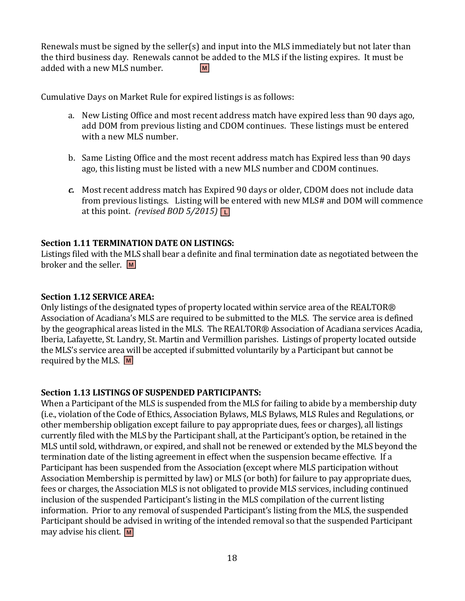Renewals must be signed by the seller(s) and input into the MLS immediately but not later than the third business day. Renewals cannot be added to the MLS if the listing expires. It must be added with a new MLS number. **M**

Cumulative Days on Market Rule for expired listings is as follows:

- a. New Listing Office and most recent address match have expired less than 90 days ago, add DOM from previous listing and CDOM continues. These listings must be entered with a new MLS number.
- b. Same Listing Office and the most recent address match has Expired less than 90 days ago, this listing must be listed with a new MLS number and CDOM continues.
- *c.* Most recent address match has Expired 90 days or older, CDOM does not include data from previous listings. Listing will be entered with new MLS# and DOM will commence at this point. *(revised BOD 5/2015)* **L**

#### **Section 1.11 TERMINATION DATE ON LISTINGS:**

Listings filed with the MLS shall bear a definite and final termination date as negotiated between the broker and the seller. **M**

#### **Section 1.12 SERVICE AREA:**

Only listings of the designated types of property located within service area of the REALTOR® Association of Acadiana's MLS are required to be submitted to the MLS. The service area is defined by the geographical areas listed in the MLS. The REALTOR® Association of Acadiana services Acadia, Iberia, Lafayette, St. Landry, St. Martin and Vermillion parishes. Listings of property located outside the MLS's service area will be accepted if submitted voluntarily by a Participant but cannot be required by the MLS. **M**

#### **Section 1.13 LISTINGS OF SUSPENDED PARTICIPANTS:**

When a Participant of the MLS is suspended from the MLS for failing to abide by a membership duty (i.e., violation of the Code of Ethics, Association Bylaws, MLS Bylaws, MLS Rules and Regulations, or other membership obligation except failure to pay appropriate dues, fees or charges), all listings currently filed with the MLS by the Participant shall, at the Participant's option, be retained in the MLS until sold, withdrawn, or expired, and shall not be renewed or extended by the MLS beyond the termination date of the listing agreement in effect when the suspension became effective. If a Participant has been suspended from the Association (except where MLS participation without Association Membership is permitted by law) or MLS (or both) for failure to pay appropriate dues, fees or charges, the Association MLS is not obligated to provide MLS services, including continued inclusion of the suspended Participant's listing in the MLS compilation of the current listing information. Prior to any removal of suspended Participant's listing from the MLS, the suspended Participant should be advised in writing of the intended removal so that the suspended Participant may advise his client. **M**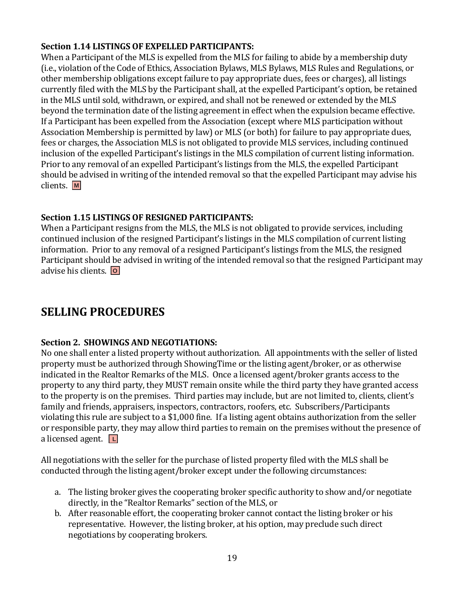#### **Section 1.14 LISTINGS OF EXPELLED PARTICIPANTS:**

When a Participant of the MLS is expelled from the MLS for failing to abide by a membership duty (i.e., violation of the Code of Ethics, Association Bylaws, MLS Bylaws, MLS Rules and Regulations, or other membership obligations except failure to pay appropriate dues, fees or charges), all listings currently filed with the MLS by the Participant shall, at the expelled Participant's option, be retained in the MLS until sold, withdrawn, or expired, and shall not be renewed or extended by the MLS beyond the termination date of the listing agreement in effect when the expulsion became effective. If a Participant has been expelled from the Association (except where MLS participation without Association Membership is permitted by law) or MLS (or both) for failure to pay appropriate dues, fees or charges, the Association MLS is not obligated to provide MLS services, including continued inclusion of the expelled Participant's listings in the MLS compilation of current listing information. Prior to any removal of an expelled Participant's listings from the MLS, the expelled Participant should be advised in writing of the intended removal so that the expelled Participant may advise his clients. **M**

#### **Section 1.15 LISTINGS OF RESIGNED PARTICIPANTS:**

When a Participant resigns from the MLS, the MLS is not obligated to provide services, including continued inclusion of the resigned Participant's listings in the MLS compilation of current listing information. Prior to any removal of a resigned Participant's listings from the MLS, the resigned Participant should be advised in writing of the intended removal so that the resigned Participant may advise his clients. **O**

# **SELLING PROCEDURES**

#### **Section 2. SHOWINGS AND NEGOTIATIONS:**

No one shall enter a listed property without authorization. All appointments with the seller of listed property must be authorized through ShowingTime or the listing agent/broker, or as otherwise indicated in the Realtor Remarks of the MLS. Once a licensed agent/broker grants access to the property to any third party, they MUST remain onsite while the third party they have granted access to the property is on the premises. Third parties may include, but are not limited to, clients, client's family and friends, appraisers, inspectors, contractors, roofers, etc. Subscribers/Participants violating this rule are subject to a \$1,000 fine. If a listing agent obtains authorization from the seller or responsible party, they may allow third parties to remain on the premises without the presence of a licensed agent. **L**

All negotiations with the seller for the purchase of listed property filed with the MLS shall be conducted through the listing agent/broker except under the following circumstances:

- a. The listing broker gives the cooperating broker specific authority to show and/or negotiate directly, in the "Realtor Remarks" section of the MLS, or
- b. After reasonable effort, the cooperating broker cannot contact the listing broker or his representative. However, the listing broker, at his option, may preclude such direct negotiations by cooperating brokers.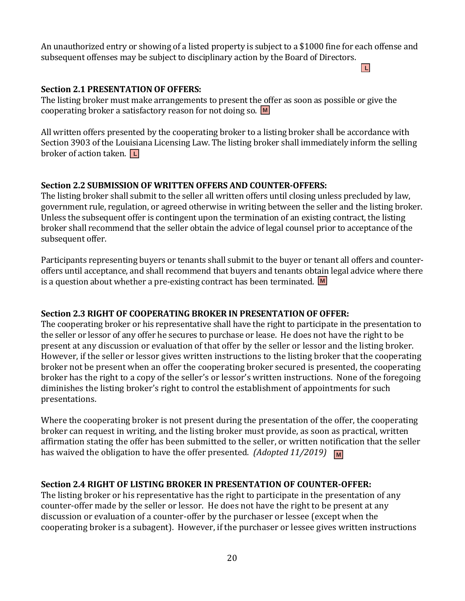An unauthorized entry or showing of a listed property is subject to a \$1000 fine for each offense and subsequent offenses may be subject to disciplinary action by the Board of Directors.

#### **L**

### **Section 2.1 PRESENTATION OF OFFERS:**

The listing broker must make arrangements to present the offer as soon as possible or give the cooperating broker a satisfactory reason for not doing so. **M**

All written offers presented by the cooperating broker to a listing broker shall be accordance with Section 3903 of the Louisiana Licensing Law. The listing broker shall immediately inform the selling broker of action taken. **L**

# **Section 2.2 SUBMISSION OF WRITTEN OFFERS AND COUNTER-OFFERS:**

The listing broker shall submit to the seller all written offers until closing unless precluded by law, government rule, regulation, or agreed otherwise in writing between the seller and the listing broker. Unless the subsequent offer is contingent upon the termination of an existing contract, the listing broker shall recommend that the seller obtain the advice of legal counsel prior to acceptance of the subsequent offer.

Participants representing buyers or tenants shall submit to the buyer or tenant all offers and counteroffers until acceptance, and shall recommend that buyers and tenants obtain legal advice where there is a question about whether a pre-existing contract has been terminated. **M**

# **Section 2.3 RIGHT OF COOPERATING BROKER IN PRESENTATION OF OFFER:**

The cooperating broker or his representative shall have the right to participate in the presentation to the seller or lessor of any offer he secures to purchase or lease. He does not have the right to be present at any discussion or evaluation of that offer by the seller or lessor and the listing broker. However, if the seller or lessor gives written instructions to the listing broker that the cooperating broker not be present when an offer the cooperating broker secured is presented, the cooperating broker has the right to a copy of the seller's or lessor's written instructions. None of the foregoing diminishes the listing broker's right to control the establishment of appointments for such presentations.

Where the cooperating broker is not present during the presentation of the offer, the cooperating broker can request in writing, and the listing broker must provide, as soon as practical, written affirmation stating the offer has been submitted to the seller, or written notification that the seller has waived the obligation to have the offer presented. *(Adopted 11/2019)* **M**

# **Section 2.4 RIGHT OF LISTING BROKER IN PRESENTATION OF COUNTER-OFFER:**

The listing broker or his representative has the right to participate in the presentation of any counter-offer made by the seller or lessor. He does not have the right to be present at any discussion or evaluation of a counter-offer by the purchaser or lessee (except when the cooperating broker is a subagent). However, if the purchaser or lessee gives written instructions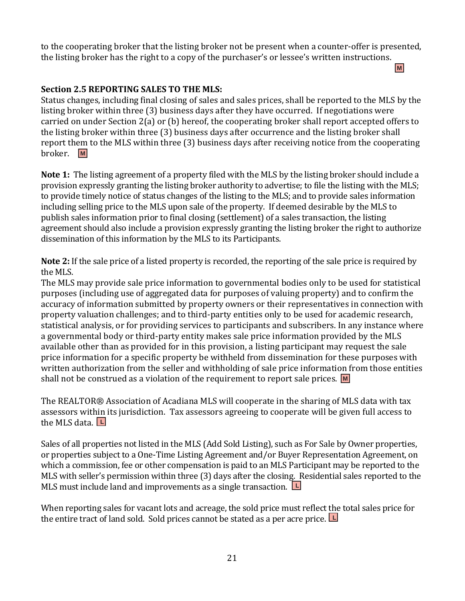to the cooperating broker that the listing broker not be present when a counter-offer is presented, the listing broker has the right to a copy of the purchaser's or lessee's written instructions.

**M**

# **Section 2.5 REPORTING SALES TO THE MLS:**

Status changes, including final closing of sales and sales prices, shall be reported to the MLS by the listing broker within three (3) business days after they have occurred. If negotiations were carried on under Section 2(a) or (b) hereof, the cooperating broker shall report accepted offers to the listing broker within three (3) business days after occurrence and the listing broker shall report them to the MLS within three (3) business days after receiving notice from the cooperating broker. **M**

**Note 1:** The listing agreement of a property filed with the MLS by the listing broker should include a provision expressly granting the listing broker authority to advertise; to file the listing with the MLS; to provide timely notice of status changes of the listing to the MLS; and to provide sales information including selling price to the MLS upon sale of the property. If deemed desirable by the MLS to publish sales information prior to final closing (settlement) of a sales transaction, the listing agreement should also include a provision expressly granting the listing broker the right to authorize dissemination of this information by the MLS to its Participants.

**Note 2:** If the sale price of a listed property is recorded, the reporting of the sale price is required by the MLS.

The MLS may provide sale price information to governmental bodies only to be used for statistical purposes (including use of aggregated data for purposes of valuing property) and to confirm the accuracy of information submitted by property owners or their representatives in connection with property valuation challenges; and to third-party entities only to be used for academic research, statistical analysis, or for providing services to participants and subscribers. In any instance where a governmental body or third-party entity makes sale price information provided by the MLS available other than as provided for in this provision, a listing participant may request the sale price information for a specific property be withheld from dissemination for these purposes with written authorization from the seller and withholding of sale price information from those entities shall not be construed as a violation of the requirement to report sale prices. **M**

The REALTOR® Association of Acadiana MLS will cooperate in the sharing of MLS data with tax assessors within its jurisdiction. Tax assessors agreeing to cooperate will be given full access to the MLS data. **L**

Sales of all properties not listed in the MLS (Add Sold Listing), such as For Sale by Owner properties, or properties subject to a One-Time Listing Agreement and/or Buyer Representation Agreement, on which a commission, fee or other compensation is paid to an MLS Participant may be reported to the MLS with seller's permission within three (3) days after the closing. Residential sales reported to the MLS must include land and improvements as a single transaction. **L**

When reporting sales for vacant lots and acreage, the sold price must reflect the total sales price for the entire tract of land sold. Sold prices cannot be stated as a per acre price. **L**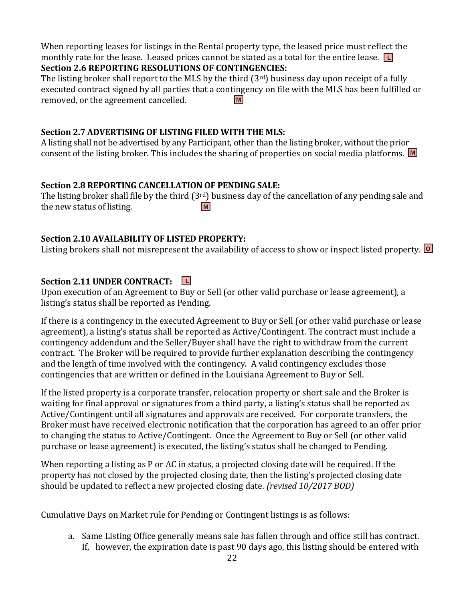When reporting leases for listings in the Rental property type, the leased price must reflect the monthly rate for the lease. Leased prices cannot be stated as a total for the entire lease. **L**

### **Section 2.6 REPORTING RESOLUTIONS OF CONTINGENCIES:**

The listing broker shall report to the MLS by the third  $(3<sup>rd</sup>)$  business day upon receipt of a fully executed contract signed by all parties that a contingency on file with the MLS has been fulfilled or removed, or the agreement cancelled. **M**

#### **Section 2.7 ADVERTISING OF LISTING FILED WITH THE MLS:**

A listing shall not be advertised by any Participant, other than the listing broker, without the prior consent of the listing broker. This includes the sharing of properties on social media platforms. **M**

### **Section 2.8 REPORTING CANCELLATION OF PENDING SALE:**

The listing broker shall file by the third (3<sup>rd</sup>) business day of the cancellation of any pending sale and the new status of listing. **M**

### **Section 2.10 AVAILABILITY OF LISTED PROPERTY:**

Listing brokers shall not misrepresent the availability of access to show or inspect listed property. **O**

# **Section 2.11 UNDER CONTRACT: L**

Upon execution of an Agreement to Buy or Sell (or other valid purchase or lease agreement), a listing's status shall be reported as Pending.

If there is a contingency in the executed Agreement to Buy or Sell (or other valid purchase or lease agreement), a listing's status shall be reported as Active/Contingent. The contract must include a contingency addendum and the Seller/Buyer shall have the right to withdraw from the current contract. The Broker will be required to provide further explanation describing the contingency and the length of time involved with the contingency. A valid contingency excludes those contingencies that are written or defined in the Louisiana Agreement to Buy or Sell.

If the listed property is a corporate transfer, relocation property or short sale and the Broker is waiting for final approval or signatures from a third party, a listing's status shall be reported as Active/Contingent until all signatures and approvals are received. For corporate transfers, the Broker must have received electronic notification that the corporation has agreed to an offer prior to changing the status to Active/Contingent. Once the Agreement to Buy or Sell (or other valid purchase or lease agreement) is executed, the listing's status shall be changed to Pending.

When reporting a listing as P or AC in status, a projected closing date will be required. If the property has not closed by the projected closing date, then the listing's projected closing date should be updated to reflect a new projected closing date. *(revised 10/2017 BOD)*

Cumulative Days on Market rule for Pending or Contingent listings is as follows:

a. Same Listing Office generally means sale has fallen through and office still has contract. If, however, the expiration date is past 90 days ago, this listing should be entered with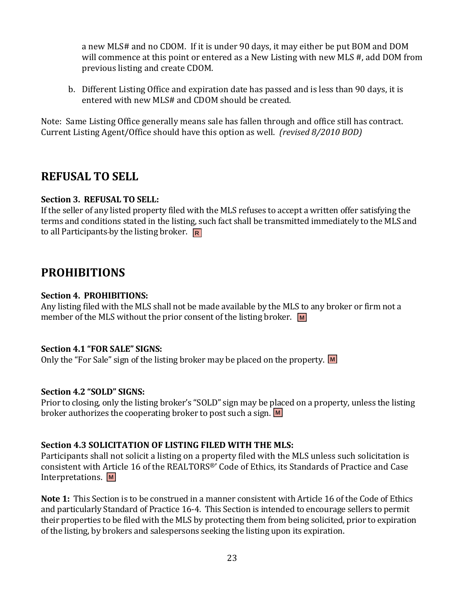a new MLS# and no CDOM. If it is under 90 days, it may either be put BOM and DOM will commence at this point or entered as a New Listing with new MLS #, add DOM from previous listing and create CDOM.

b. Different Listing Office and expiration date has passed and is less than 90 days, it is entered with new MLS# and CDOM should be created.

Note: Same Listing Office generally means sale has fallen through and office still has contract. Current Listing Agent/Office should have this option as well. *(revised 8/2010 BOD)*

# **REFUSAL TO SELL**

#### **Section 3. REFUSAL TO SELL:**

If the seller of any listed property filed with the MLS refuses to accept a written offer satisfying the terms and conditions stated in the listing, such fact shall be transmitted immediately to the MLS and to all Participants by the listing broker. **R**

# **PROHIBITIONS**

#### **Section 4. PROHIBITIONS:**

Any listing filed with the MLS shall not be made available by the MLS to any broker or firm not a member of the MLS without the prior consent of the listing broker. M

#### **Section 4.1 "FOR SALE" SIGNS:**

Only the "For Sale" sign of the listing broker may be placed on the property. M

#### **Section 4.2 "SOLD" SIGNS:**

Prior to closing, only the listing broker's "SOLD" sign may be placed on a property, unless the listing broker authorizes the cooperating broker to post such a sign. **M**

#### **Section 4.3 SOLICITATION OF LISTING FILED WITH THE MLS:**

Participants shall not solicit a listing on a property filed with the MLS unless such solicitation is consistent with Article 16 of the REALTORS®' Code of Ethics, its Standards of Practice and Case Interpretations. **M**

**Note 1:** This Section is to be construed in a manner consistent with Article 16 of the Code of Ethics and particularly Standard of Practice 16-4. This Section is intended to encourage sellers to permit their properties to be filed with the MLS by protecting them from being solicited, prior to expiration of the listing, by brokers and salespersons seeking the listing upon its expiration.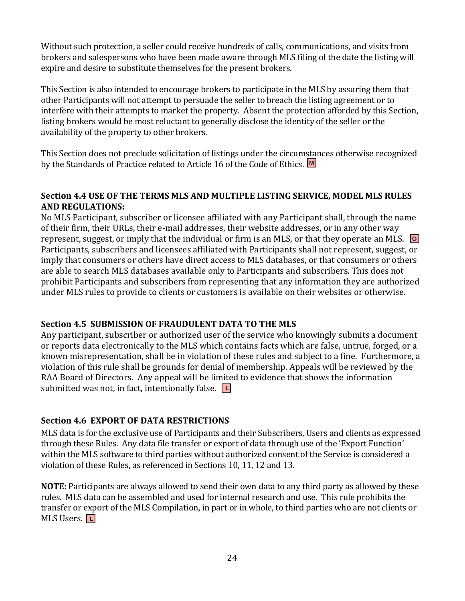Without such protection, a seller could receive hundreds of calls, communications, and visits from brokers and salespersons who have been made aware through MLS filing of the date the listing will expire and desire to substitute themselves for the present brokers.

This Section is also intended to encourage brokers to participate in the MLS by assuring them that other Participants will not attempt to persuade the seller to breach the listing agreement or to interfere with their attempts to market the property. Absent the protection afforded by this Section, listing brokers would be most reluctant to generally disclose the identity of the seller or the availability of the property to other brokers.

This Section does not preclude solicitation of listings under the circumstances otherwise recognized by the Standards of Practice related to Article 16 of the Code of Ethics. **M**

#### **Section 4.4 USE OF THE TERMS MLS AND MULTIPLE LISTING SERVICE, MODEL MLS RULES AND REGULATIONS:**

No MLS Participant, subscriber or licensee affiliated with any Participant shall, through the name of their firm, their URLs, their e-mail addresses, their website addresses, or in any other way represent, suggest, or imply that the individual or firm is an MLS, or that they operate an MLS. **O** Participants, subscribers and licensees affiliated with Participants shall not represent, suggest, or imply that consumers or others have direct access to MLS databases, or that consumers or others are able to search MLS databases available only to Participants and subscribers. This does not prohibit Participants and subscribers from representing that any information they are authorized under MLS rules to provide to clients or customers is available on their websites or otherwise.

#### **Section 4.5 SUBMISSION OF FRAUDULENT DATA TO THE MLS**

Any participant, subscriber or authorized user of the service who knowingly submits a document or reports data electronically to the MLS which contains facts which are false, untrue, forged, or a known misrepresentation, shall be in violation of these rules and subject to a fine. Furthermore, a violation of this rule shall be grounds for denial of membership. Appeals will be reviewed by the RAA Board of Directors. Any appeal will be limited to evidence that shows the information submitted was not, in fact, intentionally false. **L**

#### **Section 4.6 EXPORT OF DATA RESTRICTIONS**

MLS data is for the exclusive use of Participants and their Subscribers, Users and clients as expressed through these Rules. Any data file transfer or export of data through use of the 'Export Function' within the MLS software to third parties without authorized consent of the Service is considered a violation of these Rules, as referenced in Sections 10, 11, 12 and 13.

**NOTE:** Participants are always allowed to send their own data to any third party as allowed by these rules. MLS data can be assembled and used for internal research and use. This rule prohibits the transfer or export of the MLS Compilation, in part or in whole, to third parties who are not clients or MLS Users. **L**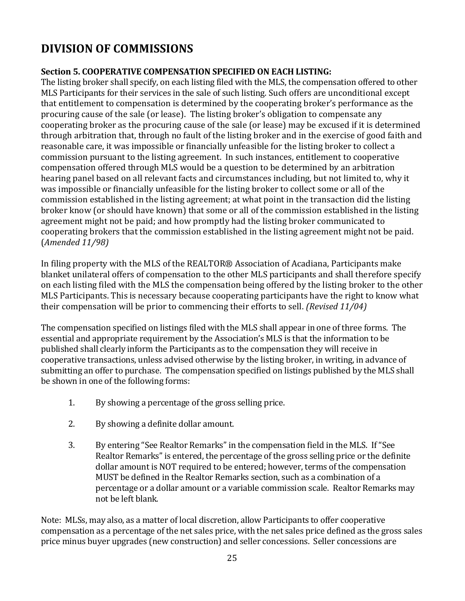# **DIVISION OF COMMISSIONS**

### **Section 5. COOPERATIVE COMPENSATION SPECIFIED ON EACH LISTING:**

The listing broker shall specify, on each listing filed with the MLS, the compensation offered to other MLS Participants for their services in the sale of such listing. Such offers are unconditional except that entitlement to compensation is determined by the cooperating broker's performance as the procuring cause of the sale (or lease). The listing broker's obligation to compensate any cooperating broker as the procuring cause of the sale (or lease) may be excused if it is determined through arbitration that, through no fault of the listing broker and in the exercise of good faith and reasonable care, it was impossible or financially unfeasible for the listing broker to collect a commission pursuant to the listing agreement. In such instances, entitlement to cooperative compensation offered through MLS would be a question to be determined by an arbitration hearing panel based on all relevant facts and circumstances including, but not limited to, why it was impossible or financially unfeasible for the listing broker to collect some or all of the commission established in the listing agreement; at what point in the transaction did the listing broker know (or should have known) that some or all of the commission established in the listing agreement might not be paid; and how promptly had the listing broker communicated to cooperating brokers that the commission established in the listing agreement might not be paid. (*Amended 11/98)*

In filing property with the MLS of the REALTOR® Association of Acadiana, Participants make blanket unilateral offers of compensation to the other MLS participants and shall therefore specify on each listing filed with the MLS the compensation being offered by the listing broker to the other MLS Participants. This is necessary because cooperating participants have the right to know what their compensation will be prior to commencing their efforts to sell. *(Revised 11/04)*

The compensation specified on listings filed with the MLS shall appear in one of three forms. The essential and appropriate requirement by the Association's MLS is that the information to be published shall clearly inform the Participants as to the compensation they will receive in cooperative transactions, unless advised otherwise by the listing broker, in writing, in advance of submitting an offer to purchase. The compensation specified on listings published by the MLS shall be shown in one of the following forms:

- 1. By showing a percentage of the gross selling price.
- 2. By showing a definite dollar amount.
- 3. By entering "See Realtor Remarks" in the compensation field in the MLS. If "See Realtor Remarks" is entered, the percentage of the gross selling price or the definite dollar amount is NOT required to be entered; however, terms of the compensation MUST be defined in the Realtor Remarks section, such as a combination of a percentage or a dollar amount or a variable commission scale. Realtor Remarks may not be left blank.

Note: MLSs, may also, as a matter of local discretion, allow Participants to offer cooperative compensation as a percentage of the net sales price, with the net sales price defined as the gross sales price minus buyer upgrades (new construction) and seller concessions. Seller concessions are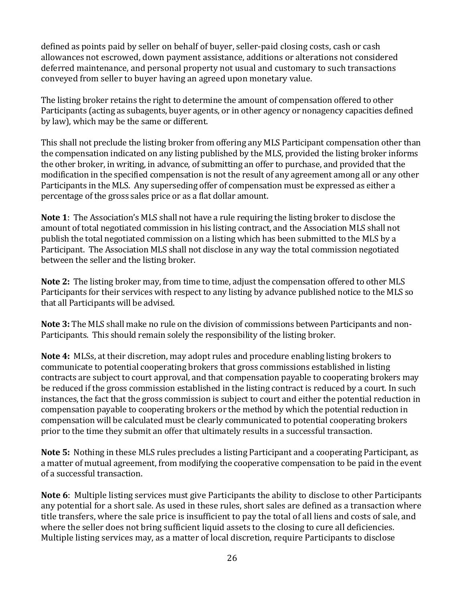defined as points paid by seller on behalf of buyer, seller-paid closing costs, cash or cash allowances not escrowed, down payment assistance, additions or alterations not considered deferred maintenance, and personal property not usual and customary to such transactions conveyed from seller to buyer having an agreed upon monetary value.

The listing broker retains the right to determine the amount of compensation offered to other Participants (acting as subagents, buyer agents, or in other agency or nonagency capacities defined by law), which may be the same or different.

This shall not preclude the listing broker from offering any MLS Participant compensation other than the compensation indicated on any listing published by the MLS, provided the listing broker informs the other broker, in writing, in advance, of submitting an offer to purchase, and provided that the modification in the specified compensation is not the result of any agreement among all or any other Participants in the MLS. Any superseding offer of compensation must be expressed as either a percentage of the gross sales price or as a flat dollar amount.

**Note 1**: The Association's MLS shall not have a rule requiring the listing broker to disclose the amount of total negotiated commission in his listing contract, and the Association MLS shall not publish the total negotiated commission on a listing which has been submitted to the MLS by a Participant. The Association MLS shall not disclose in any way the total commission negotiated between the seller and the listing broker.

**Note 2:**The listing broker may, from time to time, adjust the compensation offered to other MLS Participants for their services with respect to any listing by advance published notice to the MLS so that all Participants will be advised.

**Note 3:** The MLS shall make no rule on the division of commissions between Participants and non-Participants. This should remain solely the responsibility of the listing broker.

**Note 4:** MLSs, at their discretion, may adopt rules and procedure enabling listing brokers to communicate to potential cooperating brokers that gross commissions established in listing contracts are subject to court approval, and that compensation payable to cooperating brokers may be reduced if the gross commission established in the listing contract is reduced by a court. In such instances, the fact that the gross commission is subject to court and either the potential reduction in compensation payable to cooperating brokers or the method by which the potential reduction in compensation will be calculated must be clearly communicated to potential cooperating brokers prior to the time they submit an offer that ultimately results in a successful transaction.

**Note 5:** Nothing in these MLS rules precludes a listing Participant and a cooperating Participant, as a matter of mutual agreement, from modifying the cooperative compensation to be paid in the event of a successful transaction.

**Note 6**: Multiple listing services must give Participants the ability to disclose to other Participants any potential for a short sale. As used in these rules, short sales are defined as a transaction where title transfers, where the sale price is insufficient to pay the total of all liens and costs of sale, and where the seller does not bring sufficient liquid assets to the closing to cure all deficiencies. Multiple listing services may, as a matter of local discretion, require Participants to disclose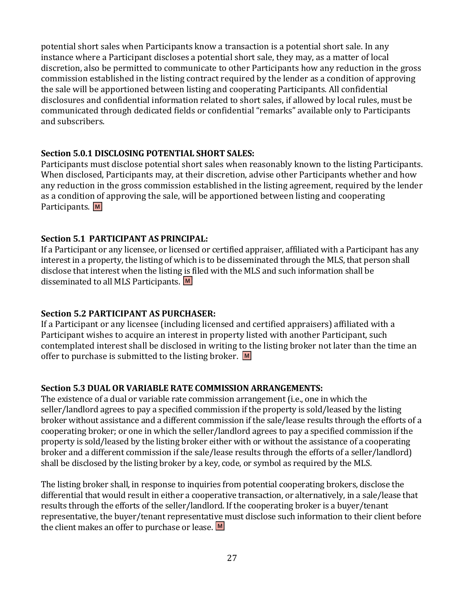potential short sales when Participants know a transaction is a potential short sale. In any instance where a Participant discloses a potential short sale, they may, as a matter of local discretion, also be permitted to communicate to other Participants how any reduction in the gross commission established in the listing contract required by the lender as a condition of approving the sale will be apportioned between listing and cooperating Participants. All confidential disclosures and confidential information related to short sales, if allowed by local rules, must be communicated through dedicated fields or confidential "remarks" available only to Participants and subscribers.

#### **Section 5.0.1 DISCLOSING POTENTIAL SHORT SALES:**

Participants must disclose potential short sales when reasonably known to the listing Participants. When disclosed, Participants may, at their discretion, advise other Participants whether and how any reduction in the gross commission established in the listing agreement, required by the lender as a condition of approving the sale, will be apportioned between listing and cooperating Participants. **M**

#### **Section 5.1 PARTICIPANT AS PRINCIPAL:**

If a Participant or any licensee, or licensed or certified appraiser, affiliated with a Participant has any interest in a property, the listing of which is to be disseminated through the MLS, that person shall disclose that interest when the listing is filed with the MLS and such information shall be disseminated to all MLS Participants. **M**

#### **Section 5.2 PARTICIPANT AS PURCHASER:**

If a Participant or any licensee (including licensed and certified appraisers) affiliated with a Participant wishes to acquire an interest in property listed with another Participant, such contemplated interest shall be disclosed in writing to the listing broker not later than the time an offer to purchase is submitted to the listing broker. **M**

#### **Section 5.3 DUAL OR VARIABLE RATE COMMISSION ARRANGEMENTS:**

The existence of a dual or variable rate commission arrangement (i.e., one in which the seller/landlord agrees to pay a specified commission if the property is sold/leased by the listing broker without assistance and a different commission if the sale/lease results through the efforts of a cooperating broker; or one in which the seller/landlord agrees to pay a specified commission if the property is sold/leased by the listing broker either with or without the assistance of a cooperating broker and a different commission if the sale/lease results through the efforts of a seller/landlord) shall be disclosed by the listing broker by a key, code, or symbol as required by the MLS.

The listing broker shall, in response to inquiries from potential cooperating brokers, disclose the differential that would result in either a cooperative transaction, or alternatively, in a sale/lease that results through the efforts of the seller/landlord. If the cooperating broker is a buyer/tenant representative, the buyer/tenant representative must disclose such information to their client before the client makes an offer to purchase or lease. **M**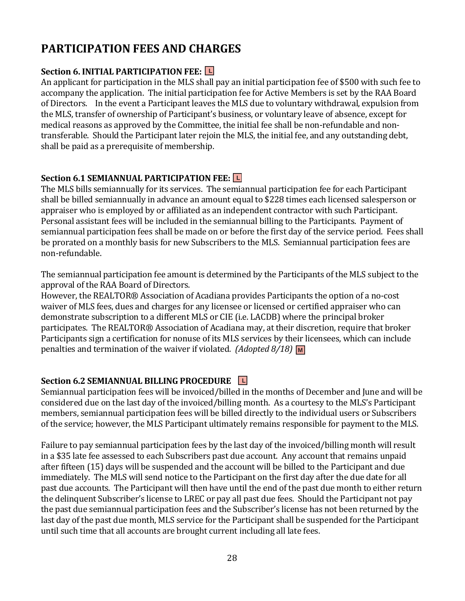# **PARTICIPATION FEES AND CHARGES**

# **Section 6. INITIAL PARTICIPATION FEE: L**

An applicant for participation in the MLS shall pay an initial participation fee of \$500 with such fee to accompany the application. The initial participation fee for Active Members is set by the RAA Board of Directors. In the event a Participant leaves the MLS due to voluntary withdrawal, expulsion from the MLS, transfer of ownership of Participant's business, or voluntary leave of absence, except for medical reasons as approved by the Committee, the initial fee shall be non-refundable and nontransferable. Should the Participant later rejoin the MLS, the initial fee, and any outstanding debt, shall be paid as a prerequisite of membership.

# **Section 6.1 SEMIANNUAL PARTICIPATION FEE: L**

The MLS bills semiannually for its services. The semiannual participation fee for each Participant shall be billed semiannually in advance an amount equal to \$228 times each licensed salesperson or appraiser who is employed by or affiliated as an independent contractor with such Participant. Personal assistant fees will be included in the semiannual billing to the Participants. Payment of semiannual participation fees shall be made on or before the first day of the service period. Fees shall be prorated on a monthly basis for new Subscribers to the MLS. Semiannual participation fees are non-refundable.

The semiannual participation fee amount is determined by the Participants of the MLS subject to the approval of the RAA Board of Directors.

However, the REALTOR® Association of Acadiana provides Participants the option of a no-cost waiver of MLS fees, dues and charges for any licensee or licensed or certified appraiser who can demonstrate subscription to a different MLS or CIE (i.e. LACDB) where the principal broker participates. The REALTOR® Association of Acadiana may, at their discretion, require that broker Participants sign a certification for nonuse of its MLS services by their licensees, which can include penalties and termination of the waiver if violated. *(Adopted 8/18)* M

# **Section 6.2 SEMIANNUAL BILLING PROCEDURE L**

Semiannual participation fees will be invoiced/billed in the months of December and June and will be considered due on the last day of the invoiced/billing month. As a courtesy to the MLS's Participant members, semiannual participation fees will be billed directly to the individual users or Subscribers of the service; however, the MLS Participant ultimately remains responsible for payment to the MLS.

Failure to pay semiannual participation fees by the last day of the invoiced/billing month will result in a \$35 late fee assessed to each Subscribers past due account. Any account that remains unpaid after fifteen (15) days will be suspended and the account will be billed to the Participant and due immediately. The MLS will send notice to the Participant on the first day after the due date for all past due accounts. The Participant will then have until the end of the past due month to either return the delinquent Subscriber's license to LREC or pay all past due fees. Should the Participant not pay the past due semiannual participation fees and the Subscriber's license has not been returned by the last day of the past due month, MLS service for the Participant shall be suspended for the Participant until such time that all accounts are brought current including all late fees.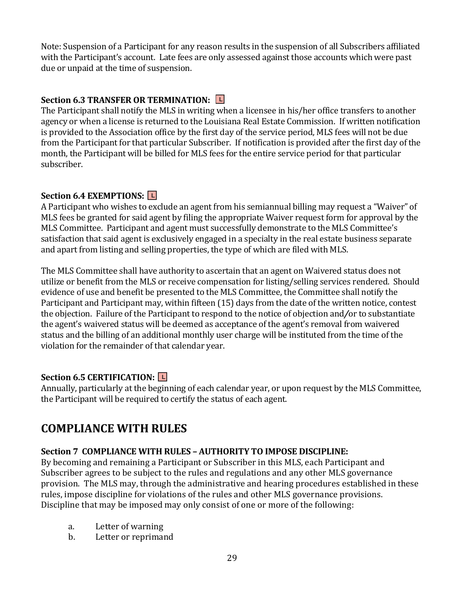Note: Suspension of a Participant for any reason results in the suspension of all Subscribers affiliated with the Participant's account. Late fees are only assessed against those accounts which were past due or unpaid at the time of suspension.

### **Section 6.3 TRANSFER OR TERMINATION: L**

The Participant shall notify the MLS in writing when a licensee in his/her office transfers to another agency or when a license is returned to the Louisiana Real Estate Commission. If written notification is provided to the Association office by the first day of the service period, MLS fees will not be due from the Participant for that particular Subscriber. If notification is provided after the first day of the month, the Participant will be billed for MLS fees for the entire service period for that particular subscriber.

### **Section 6.4 EXEMPTIONS: L**

A Participant who wishes to exclude an agent from his semiannual billing may request a "Waiver" of MLS fees be granted for said agent by filing the appropriate Waiver request form for approval by the MLS Committee. Participant and agent must successfully demonstrate to the MLS Committee's satisfaction that said agent is exclusively engaged in a specialty in the real estate business separate and apart from listing and selling properties, the type of which are filed with MLS.

The MLS Committee shall have authority to ascertain that an agent on Waivered status does not utilize or benefit from the MLS or receive compensation for listing/selling services rendered. Should evidence of use and benefit be presented to the MLS Committee, the Committee shall notify the Participant and Participant may, within fifteen (15) days from the date of the written notice, contest the objection. Failure of the Participant to respond to the notice of objection and*/*or to substantiate the agent's waivered status will be deemed as acceptance of the agent's removal from waivered status and the billing of an additional monthly user charge will be instituted from the time of the violation for the remainder of that calendar year.

#### **Section 6.5 CERTIFICATION: L**

Annually, particularly at the beginning of each calendar year, or upon request by the MLS Committee, the Participant will be required to certify the status of each agent.

# **COMPLIANCE WITH RULES**

#### **Section 7 COMPLIANCE WITH RULES – AUTHORITY TO IMPOSE DISCIPLINE:**

By becoming and remaining a Participant or Subscriber in this MLS, each Participant and Subscriber agrees to be subject to the rules and regulations and any other MLS governance provision. The MLS may, through the administrative and hearing procedures established in these rules, impose discipline for violations of the rules and other MLS governance provisions. Discipline that may be imposed may only consist of one or more of the following:

- a. Letter of warning
- b. Letter or reprimand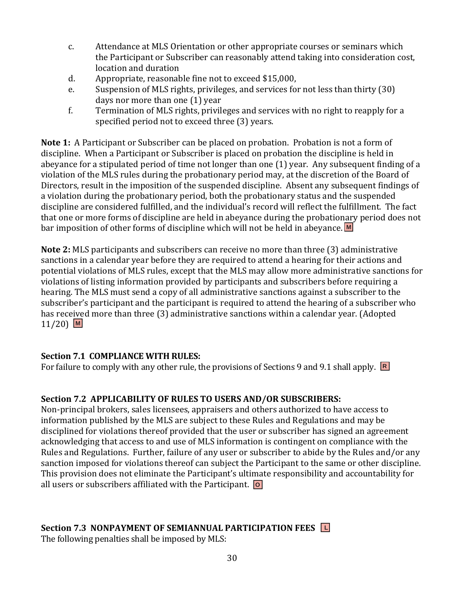- c. Attendance at MLS Orientation or other appropriate courses or seminars which the Participant or Subscriber can reasonably attend taking into consideration cost, location and duration
- d. Appropriate, reasonable fine not to exceed \$15,000,
- e. Suspension of MLS rights, privileges, and services for not less than thirty (30) days nor more than one (1) year
- f. Termination of MLS rights, privileges and services with no right to reapply for a specified period not to exceed three (3) years.

**Note 1:** A Participant or Subscriber can be placed on probation. Probation is not a form of discipline. When a Participant or Subscriber is placed on probation the discipline is held in abeyance for a stipulated period of time not longer than one (1) year. Any subsequent finding of a violation of the MLS rules during the probationary period may, at the discretion of the Board of Directors, result in the imposition of the suspended discipline. Absent any subsequent findings of a violation during the probationary period, both the probationary status and the suspended discipline are considered fulfilled, and the individual's record will reflect the fulfillment. The fact that one or more forms of discipline are held in abeyance during the probationary period does not bar imposition of other forms of discipline which will not be held in abeyance. **M**

**Note 2:** MLS participants and subscribers can receive no more than three (3) administrative sanctions in a calendar year before they are required to attend a hearing for their actions and potential violations of MLS rules, except that the MLS may allow more administrative sanctions for violations of listing information provided by participants and subscribers before requiring a hearing. The MLS must send a copy of all administrative sanctions against a subscriber to the subscriber's participant and the participant is required to attend the hearing of a subscriber who has received more than three (3) administrative sanctions within a calendar year. (Adopted 11/20) **M**

#### **Section 7.1 COMPLIANCE WITH RULES:**

For failure to comply with any other rule, the provisions of Sections 9 and 9.1 shall apply. **R**

# **Section 7.2 APPLICABILITY OF RULES TO USERS AND/OR SUBSCRIBERS:**

Non-principal brokers, sales licensees, appraisers and others authorized to have access to information published by the MLS are subject to these Rules and Regulations and may be disciplined for violations thereof provided that the user or subscriber has signed an agreement acknowledging that access to and use of MLS information is contingent on compliance with the Rules and Regulations. Further, failure of any user or subscriber to abide by the Rules and/or any sanction imposed for violations thereof can subject the Participant to the same or other discipline. This provision does not eliminate the Participant's ultimate responsibility and accountability for all users or subscribers affiliated with the Participant. **O**

# **Section 7.3 NONPAYMENT OF SEMIANNUAL PARTICIPATION FEES L**

The following penalties shall be imposed by MLS: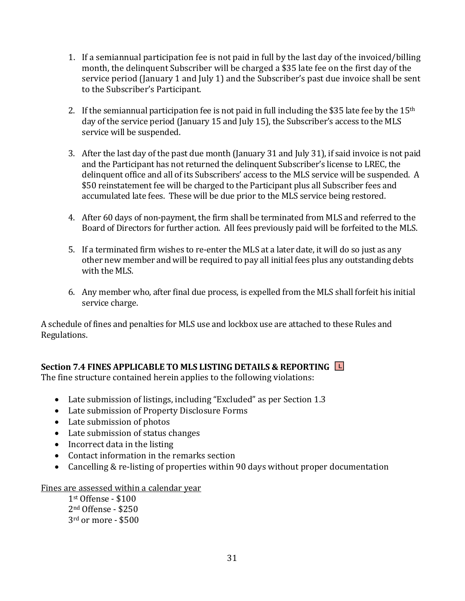- 1. If a semiannual participation fee is not paid in full by the last day of the invoiced/billing month, the delinquent Subscriber will be charged a \$35 late fee on the first day of the service period (January 1 and July 1) and the Subscriber's past due invoice shall be sent to the Subscriber's Participant.
- 2. If the semiannual participation fee is not paid in full including the \$35 late fee by the  $15<sup>th</sup>$ day of the service period (January 15 and July 15), the Subscriber's access to the MLS service will be suspended.
- 3. After the last day of the past due month (January 31 and July 31), if said invoice is not paid and the Participant has not returned the delinquent Subscriber's license to LREC, the delinquent office and all of its Subscribers' access to the MLS service will be suspended. A \$50 reinstatement fee will be charged to the Participant plus all Subscriber fees and accumulated late fees. These will be due prior to the MLS service being restored.
- 4. After 60 days of non-payment, the firm shall be terminated from MLS and referred to the Board of Directors for further action. All fees previously paid will be forfeited to the MLS.
- 5. If a terminated firm wishes to re-enter the MLS at a later date, it will do so just as any other new member and will be required to pay all initial fees plus any outstanding debts with the MLS.
- 6. Any member who, after final due process, is expelled from the MLS shall forfeit his initial service charge.

A schedule of fines and penalties for MLS use and lockbox use are attached to these Rules and Regulations.

# **Section 7.4 FINES APPLICABLE TO MLS LISTING DETAILS & REPORTING L**

The fine structure contained herein applies to the following violations:

- Late submission of listings, including "Excluded" as per Section 1.3
- Late submission of Property Disclosure Forms
- Late submission of photos
- Late submission of status changes
- Incorrect data in the listing
- Contact information in the remarks section
- Cancelling & re-listing of properties within 90 days without proper documentation

#### Fines are assessed within a calendar year

1st Offense - \$100 2nd Offense - \$250 3rd or more - \$500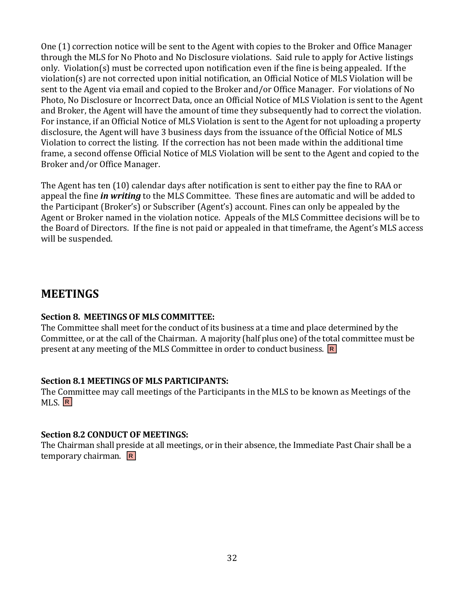One (1) correction notice will be sent to the Agent with copies to the Broker and Office Manager through the MLS for No Photo and No Disclosure violations. Said rule to apply for Active listings only. Violation(s) must be corrected upon notification even if the fine is being appealed. If the violation(s) are not corrected upon initial notification, an Official Notice of MLS Violation will be sent to the Agent via email and copied to the Broker and/or Office Manager. For violations of No Photo, No Disclosure or Incorrect Data, once an Official Notice of MLS Violation is sent to the Agent and Broker, the Agent will have the amount of time they subsequently had to correct the violation. For instance, if an Official Notice of MLS Violation is sent to the Agent for not uploading a property disclosure, the Agent will have 3 business days from the issuance of the Official Notice of MLS Violation to correct the listing. If the correction has not been made within the additional time frame, a second offense Official Notice of MLS Violation will be sent to the Agent and copied to the Broker and/or Office Manager.

The Agent has ten (10) calendar days after notification is sent to either pay the fine to RAA or appeal the fine *in writing* to the MLS Committee. These fines are automatic and will be added to the Participant (Broker's) or Subscriber (Agent's) account. Fines can only be appealed by the Agent or Broker named in the violation notice. Appeals of the MLS Committee decisions will be to the Board of Directors. If the fine is not paid or appealed in that timeframe, the Agent's MLS access will be suspended.

# **MEETINGS**

#### **Section 8. MEETINGS OF MLS COMMITTEE:**

The Committee shall meet for the conduct of its business at a time and place determined by the Committee, or at the call of the Chairman. A majority (half plus one) of the total committee must be present at any meeting of the MLS Committee in order to conduct business. **R**

#### **Section 8.1 MEETINGS OF MLS PARTICIPANTS:**

The Committee may call meetings of the Participants in the MLS to be known as Meetings of the MLS. **R**

#### **Section 8.2 CONDUCT OF MEETINGS:**

The Chairman shall preside at all meetings, or in their absence, the Immediate Past Chair shall be a temporary chairman. **R**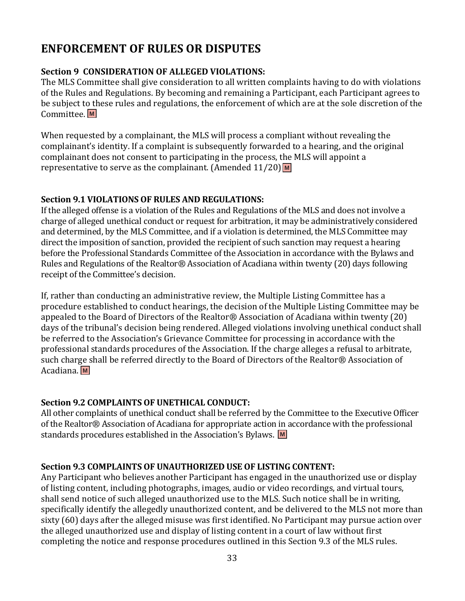# **ENFORCEMENT OF RULES OR DISPUTES**

### **Section 9 CONSIDERATION OF ALLEGED VIOLATIONS:**

The MLS Committee shall give consideration to all written complaints having to do with violations of the Rules and Regulations. By becoming and remaining a Participant, each Participant agrees to be subject to these rules and regulations, the enforcement of which are at the sole discretion of the Committee. **M**

When requested by a complainant, the MLS will process a compliant without revealing the complainant's identity. If a complaint is subsequently forwarded to a hearing, and the original complainant does not consent to participating in the process, the MLS will appoint a representative to serve as the complainant. (Amended 11/20) **M**

#### **Section 9.1 VIOLATIONS OF RULES AND REGULATIONS:**

If the alleged offense is a violation of the Rules and Regulations of the MLS and does not involve a charge of alleged unethical conduct or request for arbitration, it may be administratively considered and determined, by the MLS Committee, and if a violation is determined, the MLS Committee may direct the imposition of sanction, provided the recipient of such sanction may request a hearing before the Professional Standards Committee of the Association in accordance with the Bylaws and Rules and Regulations of the Realtor® Association of Acadiana within twenty (20) days following receipt of the Committee's decision.

If, rather than conducting an administrative review, the Multiple Listing Committee has a procedure established to conduct hearings, the decision of the Multiple Listing Committee may be appealed to the Board of Directors of the Realtor® Association of Acadiana within twenty (20) days of the tribunal's decision being rendered. Alleged violations involving unethical conduct shall be referred to the Association's Grievance Committee for processing in accordance with the professional standards procedures of the Association. If the charge alleges a refusal to arbitrate, such charge shall be referred directly to the Board of Directors of the Realtor® Association of Acadiana. **M**

# **Section 9.2 COMPLAINTS OF UNETHICAL CONDUCT:**

All other complaints of unethical conduct shall be referred by the Committee to the Executive Officer of the Realtor® Association of Acadiana for appropriate action in accordance with the professional standards procedures established in the Association's Bylaws. **M**

#### **Section 9.3 COMPLAINTS OF UNAUTHORIZED USE OF LISTING CONTENT:**

Any Participant who believes another Participant has engaged in the unauthorized use or display of listing content, including photographs, images, audio or video recordings, and virtual tours, shall send notice of such alleged unauthorized use to the MLS. Such notice shall be in writing, specifically identify the allegedly unauthorized content, and be delivered to the MLS not more than sixty (60) days after the alleged misuse was first identified. No Participant may pursue action over the alleged unauthorized use and display of listing content in a court of law without first completing the notice and response procedures outlined in this Section 9.3 of the MLS rules.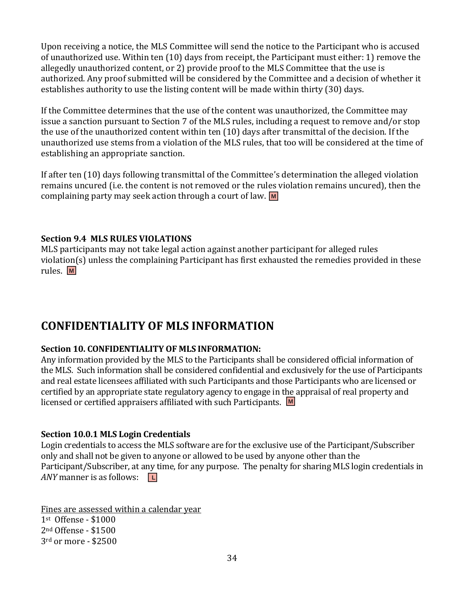Upon receiving a notice, the MLS Committee will send the notice to the Participant who is accused of unauthorized use. Within ten (10) days from receipt, the Participant must either: 1) remove the allegedly unauthorized content, or 2) provide proof to the MLS Committee that the use is authorized. Any proof submitted will be considered by the Committee and a decision of whether it establishes authority to use the listing content will be made within thirty (30) days.

If the Committee determines that the use of the content was unauthorized, the Committee may issue a sanction pursuant to Section 7 of the MLS rules, including a request to remove and/or stop the use of the unauthorized content within ten (10) days after transmittal of the decision. If the unauthorized use stems from a violation of the MLS rules, that too will be considered at the time of establishing an appropriate sanction.

If after ten (10) days following transmittal of the Committee's determination the alleged violation remains uncured (i.e. the content is not removed or the rules violation remains uncured), then the complaining party may seek action through a court of law. **M**

#### **Section 9.4 MLS RULES VIOLATIONS**

MLS participants may not take legal action against another participant for alleged rules violation(s) unless the complaining Participant has first exhausted the remedies provided in these rules. **M**

# **CONFIDENTIALITY OF MLS INFORMATION**

#### **Section 10. CONFIDENTIALITY OF MLS INFORMATION:**

Any information provided by the MLS to the Participants shall be considered official information of the MLS. Such information shall be considered confidential and exclusively for the use of Participants and real estate licensees affiliated with such Participants and those Participants who are licensed or certified by an appropriate state regulatory agency to engage in the appraisal of real property and licensed or certified appraisers affiliated with such Participants. **M**

#### **Section 10.0.1 MLS Login Credentials**

Login credentials to access the MLS software are for the exclusive use of the Participant/Subscriber only and shall not be given to anyone or allowed to be used by anyone other than the Participant/Subscriber, at any time, for any purpose. The penalty for sharing MLS login credentials in *ANY* manner is as follows: **L**

Fines are assessed within a calendar year st Offense - \$1000 nd Offense - \$1500 rd or more - \$2500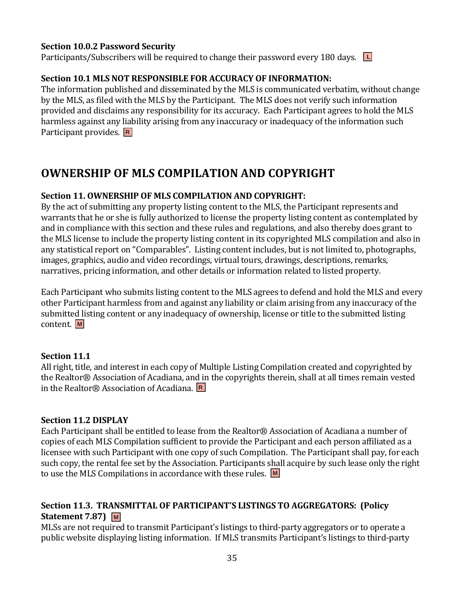#### **Section 10.0.2 Password Security**

Participants/Subscribers will be required to change their password every 180 days. **L**

#### **Section 10.1 MLS NOT RESPONSIBLE FOR ACCURACY OF INFORMATION:**

The information published and disseminated by the MLS is communicated verbatim, without change by the MLS, as filed with the MLS by the Participant. The MLS does not verify such information provided and disclaims any responsibility for its accuracy. Each Participant agrees to hold the MLS harmless against any liability arising from any inaccuracy or inadequacy of the information such Participant provides. **R**

# **OWNERSHIP OF MLS COMPILATION AND COPYRIGHT**

#### **Section 11. OWNERSHIP OF MLS COMPILATION AND COPYRIGHT:**

By the act of submitting any property listing content to the MLS, the Participant represents and warrants that he or she is fully authorized to license the property listing content as contemplated by and in compliance with this section and these rules and regulations, and also thereby does grant to the MLS license to include the property listing content in its copyrighted MLS compilation and also in any statistical report on "Comparables". Listing content includes, but is not limited to, photographs, images, graphics, audio and video recordings, virtual tours, drawings, descriptions, remarks, narratives, pricing information, and other details or information related to listed property.

Each Participant who submits listing content to the MLS agrees to defend and hold the MLS and every other Participant harmless from and against any liability or claim arising from any inaccuracy of the submitted listing content or any inadequacy of ownership, license or title to the submitted listing content. **M**

#### **Section 11.1**

All right, title, and interest in each copy of Multiple Listing Compilation created and copyrighted by the Realtor® Association of Acadiana, and in the copyrights therein, shall at all times remain vested in the Realtor® Association of Acadiana. **R**

#### **Section 11.2 DISPLAY**

Each Participant shall be entitled to lease from the Realtor® Association of Acadiana a number of copies of each MLS Compilation sufficient to provide the Participant and each person affiliated as a licensee with such Participant with one copy of such Compilation. The Participant shall pay, for each such copy, the rental fee set by the Association. Participants shall acquire by such lease only the right to use the MLS Compilations in accordance with these rules. **M**

#### **Section 11.3. TRANSMITTAL OF PARTICIPANT'S LISTINGS TO AGGREGATORS: (Policy Statement 7.87) M**

MLSs are not required to transmit Participant's listings to third-party aggregators or to operate a public website displaying listing information. If MLS transmits Participant's listings to third-party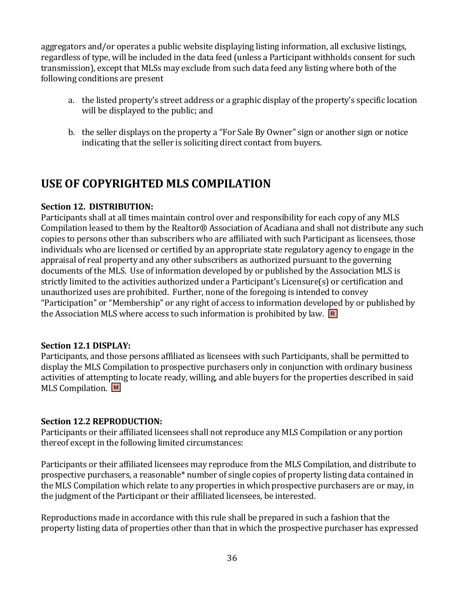aggregators and/or operates a public website displaying listing information, all exclusive listings, regardless of type, will be included in the data feed (unless a Participant withholds consent for such transmission), except that MLSs may exclude from such data feed any listing where both of the following conditions are present

- a. the listed property's street address or a graphic display of the property's specific location will be displayed to the public; and
- b. the seller displays on the property a "For Sale By Owner" sign or another sign or notice indicating that the seller is soliciting direct contact from buyers.

# **USE OF COPYRIGHTED MLS COMPILATION**

#### **Section 12. DISTRIBUTION:**

Participants shall at all times maintain control over and responsibility for each copy of any MLS Compilation leased to them by the Realtor® Association of Acadiana and shall not distribute any such copies to persons other than subscribers who are affiliated with such Participant as licensees, those individuals who are licensed or certified by an appropriate state regulatory agency to engage in the appraisal of real property and any other subscribers as authorized pursuant to the governing documents of the MLS. Use of information developed by or published by the Association MLS is strictly limited to the activities authorized under a Participant's Licensure(s) or certification and unauthorized uses are prohibited. Further, none of the foregoing is intended to convey "Participation" or "Membership" or any right of access to information developed by or published by the Association MLS where access to such information is prohibited by law. **R**

#### **Section 12.1 DISPLAY:**

Participants, and those persons affiliated as licensees with such Participants, shall be permitted to display the MLS Compilation to prospective purchasers only in conjunction with ordinary business activities of attempting to locate ready, willing, and able buyers for the properties described in said MLS Compilation. **M**

#### **Section 12.2 REPRODUCTION:**

Participants or their affiliated licensees shall not reproduce any MLS Compilation or any portion thereof except in the following limited circumstances:

Participants or their affiliated licensees may reproduce from the MLS Compilation, and distribute to prospective purchasers, a reasonable\* number of single copies of property listing data contained in the MLS Compilation which relate to any properties in which prospective purchasers are or may, in the judgment of the Participant or their affiliated licensees, be interested.

Reproductions made in accordance with this rule shall be prepared in such a fashion that the property listing data of properties other than that in which the prospective purchaser has expressed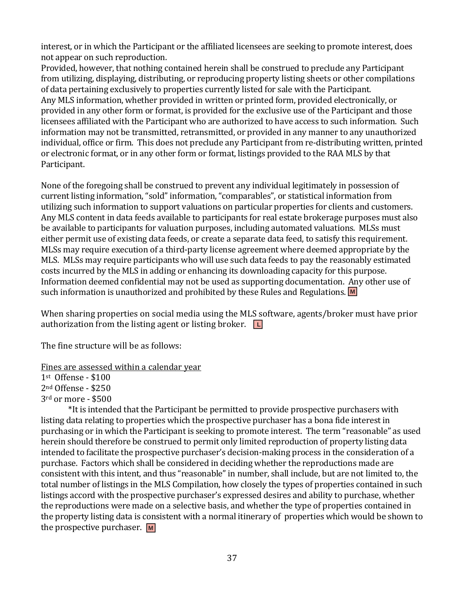interest, or in which the Participant or the affiliated licensees are seeking to promote interest, does not appear on such reproduction.

Provided, however, that nothing contained herein shall be construed to preclude any Participant from utilizing, displaying, distributing, or reproducing property listing sheets or other compilations of data pertaining exclusively to properties currently listed for sale with the Participant. Any MLS information, whether provided in written or printed form, provided electronically, or provided in any other form or format, is provided for the exclusive use of the Participant and those licensees affiliated with the Participant who are authorized to have access to such information. Such information may not be transmitted, retransmitted, or provided in any manner to any unauthorized individual, office or firm. This does not preclude any Participant from re-distributing written, printed or electronic format, or in any other form or format, listings provided to the RAA MLS by that Participant.

None of the foregoing shall be construed to prevent any individual legitimately in possession of current listing information, "sold" information, "comparables", or statistical information from utilizing such information to support valuations on particular properties for clients and customers. Any MLS content in data feeds available to participants for real estate brokerage purposes must also be available to participants for valuation purposes, including automated valuations. MLSs must either permit use of existing data feeds, or create a separate data feed, to satisfy this requirement. MLSs may require execution of a third-party license agreement where deemed appropriate by the MLS. MLSs may require participants who will use such data feeds to pay the reasonably estimated costs incurred by the MLS in adding or enhancing its downloading capacity for this purpose. Information deemed confidential may not be used as supporting documentation. Any other use of such information is unauthorized and prohibited by these Rules and Regulations. **M**

When sharing properties on social media using the MLS software, agents/broker must have prior authorization from the listing agent or listing broker. **L**

The fine structure will be as follows:

## Fines are assessed within a calendar year

1st Offense - \$100

2nd Offense - \$250

3rd or more - \$500

\*It is intended that the Participant be permitted to provide prospective purchasers with listing data relating to properties which the prospective purchaser has a bona fide interest in purchasing or in which the Participant is seeking to promote interest. The term "reasonable" as used herein should therefore be construed to permit only limited reproduction of property listing data intended to facilitate the prospective purchaser's decision-making process in the consideration of a purchase. Factors which shall be considered in deciding whether the reproductions made are consistent with this intent, and thus "reasonable" in number, shall include, but are not limited to, the total number of listings in the MLS Compilation, how closely the types of properties contained in such listings accord with the prospective purchaser's expressed desires and ability to purchase, whether the reproductions were made on a selective basis, and whether the type of properties contained in the property listing data is consistent with a normal itinerary of properties which would be shown to the prospective purchaser. **M**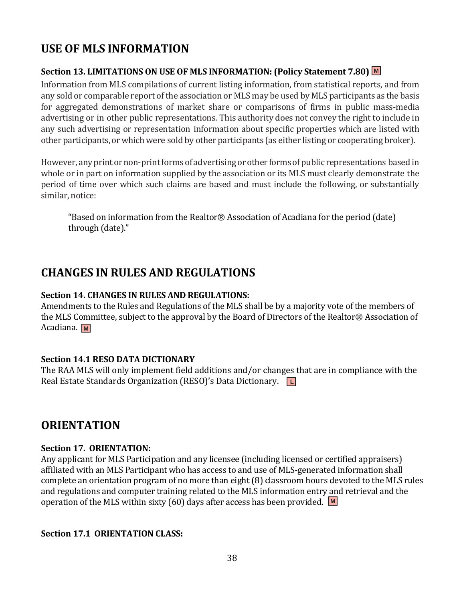# **USE OF MLS INFORMATION**

## **Section 13. LIMITATIONS ON USE OF MLS INFORMATION: (Policy Statement 7.80) M**

Information from MLS compilations of current listing information, from statistical reports, and from any sold or comparable report of the association or MLS may be used by MLS participants as the basis for aggregated demonstrations of market share or comparisons of firms in public mass-media advertising or in other public representations. This authority does not convey the right to include in any such advertising or representation information about specific properties which are listed with other participants, or which were sold by other participants (as either listing or cooperating broker).

However, any print or non-print forms of advertising or other forms of public representations based in whole or in part on information supplied by the association or its MLS must clearly demonstrate the period of time over which such claims are based and must include the following, or substantially similar, notice:

"Based on information from the Realtor® Association of Acadiana for the period (date) through (date)."

# **CHANGES IN RULES AND REGULATIONS**

## **Section 14. CHANGES IN RULES AND REGULATIONS:**

Amendments to the Rules and Regulations of the MLS shall be by a majority vote of the members of the MLS Committee, subject to the approval by the Board of Directors of the Realtor® Association of Acadiana. **M**

## **Section 14.1 RESO DATA DICTIONARY**

The RAA MLS will only implement field additions and/or changes that are in compliance with the Real Estate Standards Organization (RESO)'s Data Dictionary. **L**

# **ORIENTATION**

## **Section 17. ORIENTATION:**

Any applicant for MLS Participation and any licensee (including licensed or certified appraisers) affiliated with an MLS Participant who has access to and use of MLS-generated information shall complete an orientation program of no more than eight (8) classroom hours devoted to the MLS rules and regulations and computer training related to the MLS information entry and retrieval and the operation of the MLS within sixty (60) days after access has been provided. **M**

## **Section 17.1 ORIENTATION CLASS:**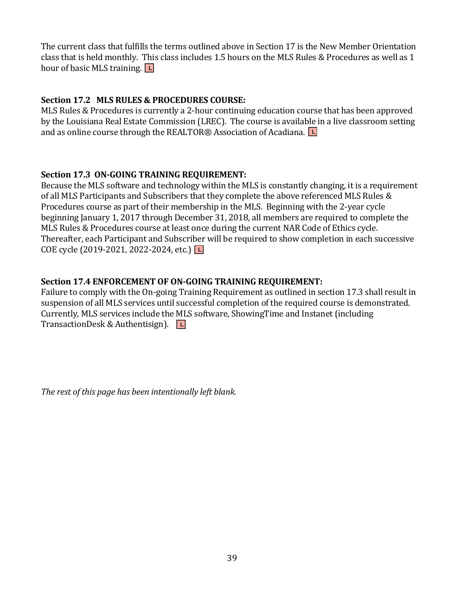The current class that fulfills the terms outlined above in Section 17 is the New Member Orientation class that is held monthly. This class includes 1.5 hours on the MLS Rules & Procedures as well as 1 hour of basic MLS training. **L**

## **Section 17.2 MLS RULES & PROCEDURES COURSE:**

MLS Rules & Procedures is currently a 2-hour continuing education course that has been approved by the Louisiana Real Estate Commission (LREC). The course is available in a live classroom setting and as online course through the REALTOR® Association of Acadiana. **L**

## **Section 17.3 ON-GOING TRAINING REQUIREMENT:**

Because the MLS software and technology within the MLS is constantly changing, it is a requirement of all MLS Participants and Subscribers that they complete the above referenced MLS Rules & Procedures course as part of their membership in the MLS. Beginning with the 2-year cycle beginning January 1, 2017 through December 31, 2018, all members are required to complete the MLS Rules & Procedures course at least once during the current NAR Code of Ethics cycle. Thereafter, each Participant and Subscriber will be required to show completion in each successive COE cycle (2019-2021, 2022-2024, etc.) **L**

## **Section 17.4 ENFORCEMENT OF ON-GOING TRAINING REQUIREMENT:**

Failure to comply with the On-going Training Requirement as outlined in section 17.3 shall result in suspension of all MLS services until successful completion of the required course is demonstrated. Currently, MLS services include the MLS software, ShowingTime and Instanet (including TransactionDesk & Authentisign). **L**

*The rest of this page has been intentionally left blank.*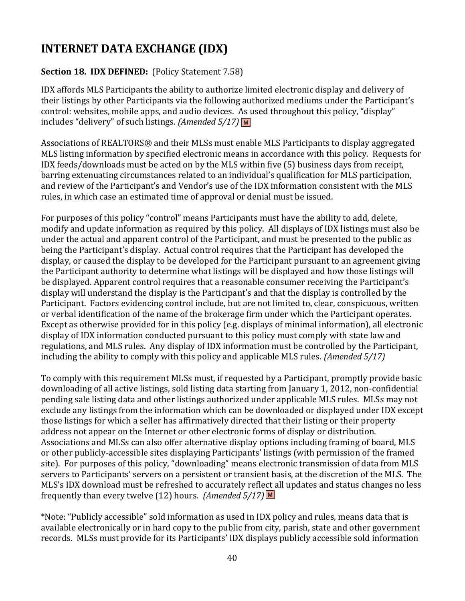# **INTERNET DATA EXCHANGE (IDX)**

## **Section 18. IDX DEFINED:** (Policy Statement 7.58)

IDX affords MLS Participants the ability to authorize limited electronic display and delivery of their listings by other Participants via the following authorized mediums under the Participant's control: websites, mobile apps, and audio devices. As used throughout this policy, "display" includes "delivery" of such listings. *(Amended 5/17)* **M**

Associations of REALTORS® and their MLSs must enable MLS Participants to display aggregated MLS listing information by specified electronic means in accordance with this policy. Requests for IDX feeds/downloads must be acted on by the MLS within five (5) business days from receipt, barring extenuating circumstances related to an individual's qualification for MLS participation, and review of the Participant's and Vendor's use of the IDX information consistent with the MLS rules, in which case an estimated time of approval or denial must be issued.

For purposes of this policy "control" means Participants must have the ability to add, delete, modify and update information as required by this policy. All displays of IDX listings must also be under the actual and apparent control of the Participant, and must be presented to the public as being the Participant's display. Actual control requires that the Participant has developed the display, or caused the display to be developed for the Participant pursuant to an agreement giving the Participant authority to determine what listings will be displayed and how those listings will be displayed. Apparent control requires that a reasonable consumer receiving the Participant's display will understand the display is the Participant's and that the display is controlled by the Participant. Factors evidencing control include, but are not limited to, clear, conspicuous, written or verbal identification of the name of the brokerage firm under which the Participant operates. Except as otherwise provided for in this policy (e.g. displays of minimal information), all electronic display of IDX information conducted pursuant to this policy must comply with state law and regulations, and MLS rules. Any display of IDX information must be controlled by the Participant, including the ability to comply with this policy and applicable MLS rules. *(Amended 5/17)*

To comply with this requirement MLSs must, if requested by a Participant, promptly provide basic downloading of all active listings, sold listing data starting from January 1, 2012, non-confidential pending sale listing data and other listings authorized under applicable MLS rules. MLSs may not exclude any listings from the information which can be downloaded or displayed under IDX except those listings for which a seller has affirmatively directed that their listing or their property address not appear on the Internet or other electronic forms of display or distribution. Associations and MLSs can also offer alternative display options including framing of board, MLS or other publicly-accessible sites displaying Participants' listings (with permission of the framed site). For purposes of this policy, "downloading" means electronic transmission of data from MLS servers to Participants' servers on a persistent or transient basis, at the discretion of the MLS. The MLS's IDX download must be refreshed to accurately reflect all updates and status changes no less frequently than every twelve (12) hours. *(Amended 5/17)* **M**

\*Note: "Publicly accessible" sold information as used in IDX policy and rules, means data that is available electronically or in hard copy to the public from city, parish, state and other government records. MLSs must provide for its Participants' IDX displays publicly accessible sold information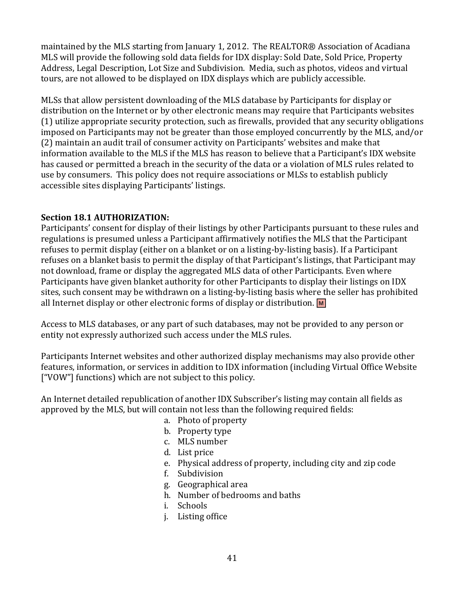maintained by the MLS starting from January 1, 2012. The REALTOR® Association of Acadiana MLS will provide the following sold data fields for IDX display: Sold Date, Sold Price, Property Address, Legal Description, Lot Size and Subdivision. Media, such as photos, videos and virtual tours, are not allowed to be displayed on IDX displays which are publicly accessible.

MLSs that allow persistent downloading of the MLS database by Participants for display or distribution on the Internet or by other electronic means may require that Participants websites (1) utilize appropriate security protection, such as firewalls, provided that any security obligations imposed on Participants may not be greater than those employed concurrently by the MLS, and/or (2) maintain an audit trail of consumer activity on Participants' websites and make that information available to the MLS if the MLS has reason to believe that a Participant's IDX website has caused or permitted a breach in the security of the data or a violation of MLS rules related to use by consumers. This policy does not require associations or MLSs to establish publicly accessible sites displaying Participants' listings.

## **Section 18.1 AUTHORIZATION:**

Participants' consent for display of their listings by other Participants pursuant to these rules and regulations is presumed unless a Participant affirmatively notifies the MLS that the Participant refuses to permit display (either on a blanket or on a listing-by-listing basis). If a Participant refuses on a blanket basis to permit the display of that Participant's listings, that Participant may not download, frame or display the aggregated MLS data of other Participants. Even where Participants have given blanket authority for other Participants to display their listings on IDX sites, such consent may be withdrawn on a listing-by-listing basis where the seller has prohibited all Internet display or other electronic forms of display or distribution. **M**

Access to MLS databases, or any part of such databases, may not be provided to any person or entity not expressly authorized such access under the MLS rules.

Participants Internet websites and other authorized display mechanisms may also provide other features, information, or services in addition to IDX information (including Virtual Office Website ["VOW"] functions) which are not subject to this policy.

An Internet detailed republication of another IDX Subscriber's listing may contain all fields as approved by the MLS, but will contain not less than the following required fields:

- a. Photo of property
- b. Property type
- c. MLS number
- d. List price
- e. Physical address of property, including city and zip code
- f. Subdivision
- g. Geographical area
- h. Number of bedrooms and baths
- i. Schools
- j. Listing office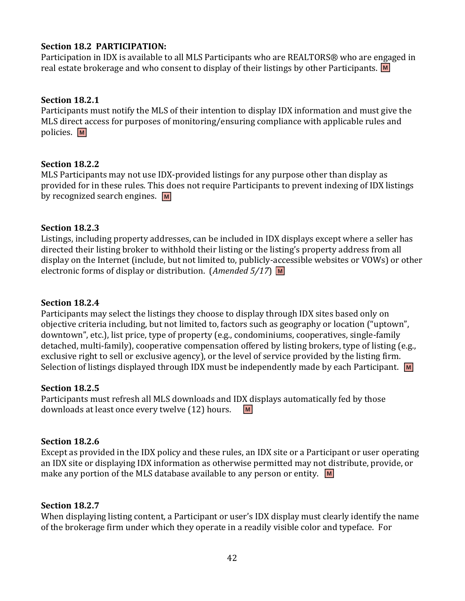## **Section 18.2 PARTICIPATION:**

Participation in IDX is available to all MLS Participants who are REALTORS® who are engaged in real estate brokerage and who consent to display of their listings by other Participants. **M**

## **Section 18.2.1**

Participants must notify the MLS of their intention to display IDX information and must give the MLS direct access for purposes of monitoring/ensuring compliance with applicable rules and policies. **M**

## **Section 18.2.2**

MLS Participants may not use IDX-provided listings for any purpose other than display as provided for in these rules. This does not require Participants to prevent indexing of IDX listings by recognized search engines. **M**

## **Section 18.2.3**

Listings, including property addresses, can be included in IDX displays except where a seller has directed their listing broker to withhold their listing or the listing's property address from all display on the Internet (include, but not limited to, publicly-accessible websites or VOWs) or other electronic forms of display or distribution. (*Amended 5/17*) **M**

## **Section 18.2.4**

Participants may select the listings they choose to display through IDX sites based only on objective criteria including, but not limited to, factors such as geography or location ("uptown", downtown", etc.), list price, type of property (e.g., condominiums, cooperatives, single-family detached, multi-family), cooperative compensation offered by listing brokers, type of listing (e.g., exclusive right to sell or exclusive agency), or the level of service provided by the listing firm. Selection of listings displayed through IDX must be independently made by each Participant. **M**

## **Section 18.2.5**

Participants must refresh all MLS downloads and IDX displays automatically fed by those downloads at least once every twelve (12) hours. **M**

## **Section 18.2.6**

Except as provided in the IDX policy and these rules, an IDX site or a Participant or user operating an IDX site or displaying IDX information as otherwise permitted may not distribute, provide, or make any portion of the MLS database available to any person or entity. **M**

## **Section 18.2.7**

When displaying listing content, a Participant or user's IDX display must clearly identify the name of the brokerage firm under which they operate in a readily visible color and typeface. For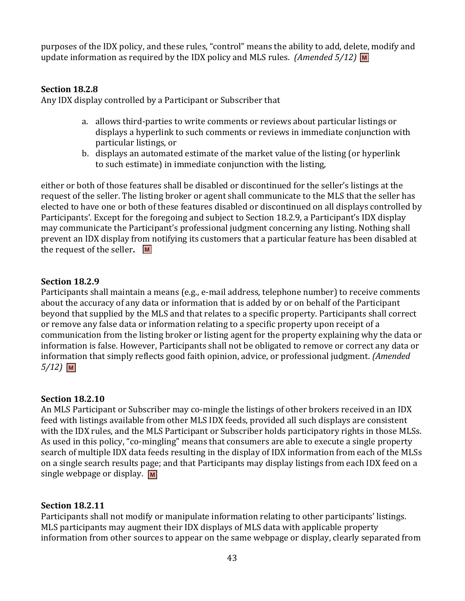purposes of the IDX policy, and these rules, "control" means the ability to add, delete, modify and update information as required by the IDX policy and MLS rules. *(Amended 5/12)* **M**

## **Section 18.2.8**

Any IDX display controlled by a Participant or Subscriber that

- a. allows third-parties to write comments or reviews about particular listings or displays a hyperlink to such comments or reviews in immediate conjunction with particular listings, or
- b. displays an automated estimate of the market value of the listing (or hyperlink to such estimate) in immediate conjunction with the listing,

either or both of those features shall be disabled or discontinued for the seller's listings at the request of the seller. The listing broker or agent shall communicate to the MLS that the seller has elected to have one or both of these features disabled or discontinued on all displays controlled by Participants'. Except for the foregoing and subject to Section 18.2.9, a Participant's IDX display may communicate the Participant's professional judgment concerning any listing. Nothing shall prevent an IDX display from notifying its customers that a particular feature has been disabled at the request of the seller**. M**

## **Section 18.2.9**

Participants shall maintain a means (e.g., e-mail address, telephone number) to receive comments about the accuracy of any data or information that is added by or on behalf of the Participant beyond that supplied by the MLS and that relates to a specific property. Participants shall correct or remove any false data or information relating to a specific property upon receipt of a communication from the listing broker or listing agent for the property explaining why the data or information is false. However, Participants shall not be obligated to remove or correct any data or information that simply reflects good faith opinion, advice, or professional judgment. *(Amended 5/12)* **M**

## **Section 18.2.10**

An MLS Participant or Subscriber may co-mingle the listings of other brokers received in an IDX feed with listings available from other MLS IDX feeds, provided all such displays are consistent with the IDX rules, and the MLS Participant or Subscriber holds participatory rights in those MLSs. As used in this policy, "co-mingling" means that consumers are able to execute a single property search of multiple IDX data feeds resulting in the display of IDX information from each of the MLSs on a single search results page; and that Participants may display listings from each IDX feed on a single webpage or display. **M**

## **Section 18.2.11**

Participants shall not modify or manipulate information relating to other participants' listings. MLS participants may augment their IDX displays of MLS data with applicable property information from other sources to appear on the same webpage or display, clearly separated from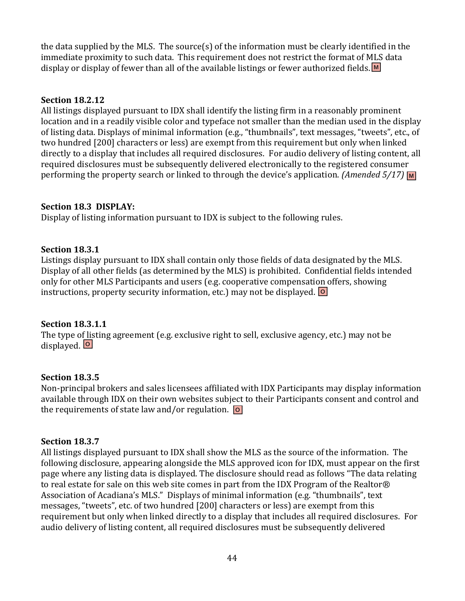the data supplied by the MLS. The source(s) of the information must be clearly identified in the immediate proximity to such data. This requirement does not restrict the format of MLS data display or display of fewer than all of the available listings or fewer authorized fields. **M**

## **Section 18.2.12**

All listings displayed pursuant to IDX shall identify the listing firm in a reasonably prominent location and in a readily visible color and typeface not smaller than the median used in the display of listing data. Displays of minimal information (e.g., "thumbnails", text messages, "tweets", etc., of two hundred [200] characters or less) are exempt from this requirement but only when linked directly to a display that includes all required disclosures. For audio delivery of listing content, all required disclosures must be subsequently delivered electronically to the registered consumer performing the property search or linked to through the device's application. *(Amended 5/17)* M

## **Section 18.3 DISPLAY:**

Display of listing information pursuant to IDX is subject to the following rules.

## **Section 18.3.1**

Listings display pursuant to IDX shall contain only those fields of data designated by the MLS. Display of all other fields (as determined by the MLS) is prohibited. Confidential fields intended only for other MLS Participants and users (e.g. cooperative compensation offers, showing instructions, property security information, etc.) may not be displayed. **O**

## **Section 18.3.1.1**

The type of listing agreement (e.g. exclusive right to sell, exclusive agency, etc.) may not be displayed. **O**

## **Section 18.3.5**

Non-principal brokers and sales licensees affiliated with IDX Participants may display information available through IDX on their own websites subject to their Participants consent and control and the requirements of state law and/or regulation. **O**

## **Section 18.3.7**

All listings displayed pursuant to IDX shall show the MLS as the source of the information. The following disclosure, appearing alongside the MLS approved icon for IDX, must appear on the first page where any listing data is displayed. The disclosure should read as follows "The data relating to real estate for sale on this web site comes in part from the IDX Program of the Realtor® Association of Acadiana's MLS." Displays of minimal information (e.g. "thumbnails", text messages, "tweets", etc. of two hundred [200] characters or less) are exempt from this requirement but only when linked directly to a display that includes all required disclosures. For audio delivery of listing content, all required disclosures must be subsequently delivered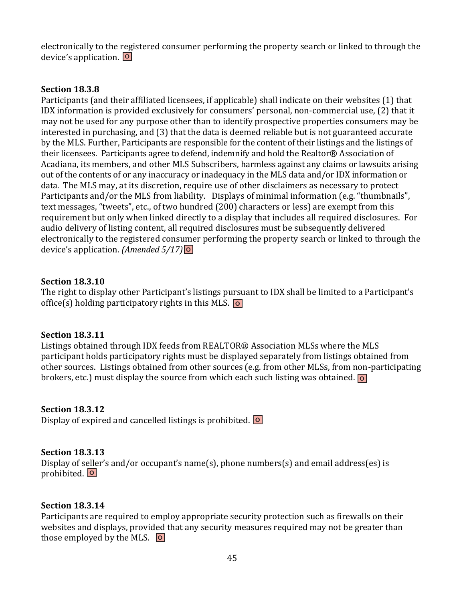electronically to the registered consumer performing the property search or linked to through the device's application. **O**

#### **Section 18.3.8**

Participants (and their affiliated licensees, if applicable) shall indicate on their websites (1) that IDX information is provided exclusively for consumers' personal, non-commercial use, (2) that it may not be used for any purpose other than to identify prospective properties consumers may be interested in purchasing, and (3) that the data is deemed reliable but is not guaranteed accurate by the MLS. Further, Participants are responsible for the content of their listings and the listings of their licensees. Participants agree to defend, indemnify and hold the Realtor® Association of Acadiana, its members, and other MLS Subscribers, harmless against any claims or lawsuits arising out of the contents of or any inaccuracy or inadequacy in the MLS data and/or IDX information or data. The MLS may, at its discretion, require use of other disclaimers as necessary to protect Participants and/or the MLS from liability. Displays of minimal information (e.g. "thumbnails", text messages, "tweets", etc., of two hundred (200) characters or less) are exempt from this requirement but only when linked directly to a display that includes all required disclosures. For audio delivery of listing content, all required disclosures must be subsequently delivered electronically to the registered consumer performing the property search or linked to through the device's application. *(Amended 5/17)* **O**

#### **Section 18.3.10**

The right to display other Participant's listings pursuant to IDX shall be limited to a Participant's office(s) holding participatory rights in this MLS. **O**

#### **Section 18.3.11**

Listings obtained through IDX feeds from REALTOR® Association MLSs where the MLS participant holds participatory rights must be displayed separately from listings obtained from other sources. Listings obtained from other sources (e.g. from other MLSs, from non-participating brokers, etc.) must display the source from which each such listing was obtained. **O**

## **Section 18.3.12**

Display of expired and cancelled listings is prohibited. **O**

## **Section 18.3.13**

Display of seller's and/or occupant's name(s), phone numbers(s) and email address(es) is prohibited. **O**

## **Section 18.3.14**

Participants are required to employ appropriate security protection such as firewalls on their websites and displays, provided that any security measures required may not be greater than those employed by the MLS. **O**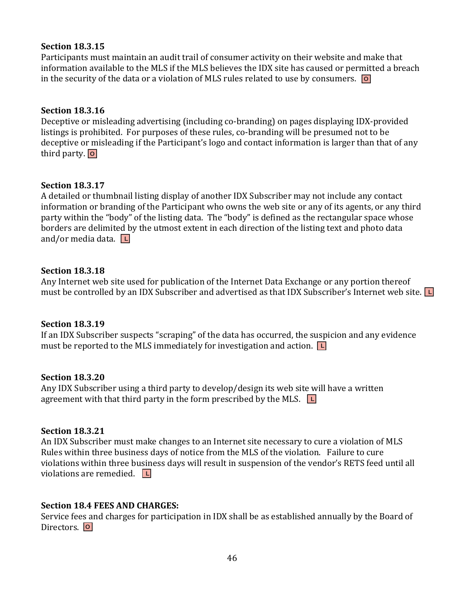## **Section 18.3.15**

Participants must maintain an audit trail of consumer activity on their website and make that information available to the MLS if the MLS believes the IDX site has caused or permitted a breach in the security of the data or a violation of MLS rules related to use by consumers. **O**

## **Section 18.3.16**

Deceptive or misleading advertising (including co-branding) on pages displaying IDX-provided listings is prohibited. For purposes of these rules, co-branding will be presumed not to be deceptive or misleading if the Participant's logo and contact information is larger than that of any third party. **O**

## **Section 18.3.17**

A detailed or thumbnail listing display of another IDX Subscriber may not include any contact information or branding of the Participant who owns the web site or any of its agents, or any third party within the "body" of the listing data. The "body" is defined as the rectangular space whose borders are delimited by the utmost extent in each direction of the listing text and photo data and/or media data. **L**

## **Section 18.3.18**

Any Internet web site used for publication of the Internet Data Exchange or any portion thereof must be controlled by an IDX Subscriber and advertised as that IDX Subscriber's Internet web site. **L**

## **Section 18.3.19**

If an IDX Subscriber suspects "scraping" of the data has occurred, the suspicion and any evidence must be reported to the MLS immediately for investigation and action. **L**

#### **Section 18.3.20**

Any IDX Subscriber using a third party to develop/design its web site will have a written agreement with that third party in the form prescribed by the MLS. **L**

## **Section 18.3.21**

An IDX Subscriber must make changes to an Internet site necessary to cure a violation of MLS Rules within three business days of notice from the MLS of the violation.Failure to cure violations within three business days will result in suspension of the vendor's RETS feed until all violations are remedied. **L**

## **Section 18.4 FEES AND CHARGES:**

Service fees and charges for participation in IDX shall be as established annually by the Board of Directors. **O**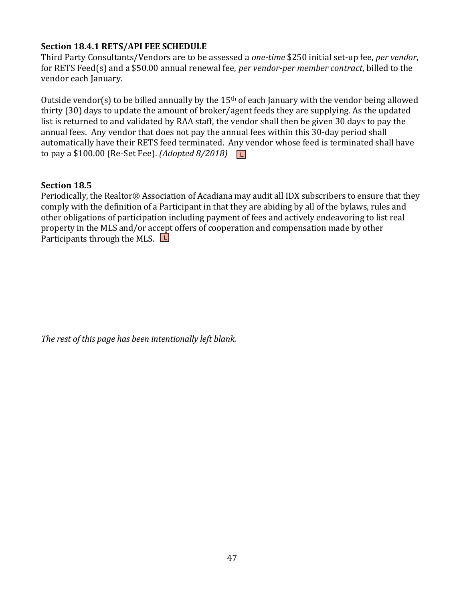## **Section 18.4.1 RETS/API FEE SCHEDULE**

Third Party Consultants/Vendors are to be assessed a *one-time* \$250 initial set-up fee, *per vendor*, for RETS Feed(s) and a \$50.00 annual renewal fee, *per vendor-per member contract*, billed to the vendor each January.

Outside vendor(s) to be billed annually by the 15<sup>th</sup> of each January with the vendor being allowed thirty (30) days to update the amount of broker/agent feeds they are supplying. As the updated list is returned to and validated by RAA staff, the vendor shall then be given 30 days to pay the annual fees. Any vendor that does not pay the annual fees within this 30-day period shall automatically have their RETS feed terminated. Any vendor whose feed is terminated shall have to pay a \$100.00 (Re-Set Fee). *(Adopted 8/2018)*  **L**

## **Section 18.5**

Periodically, the Realtor® Association of Acadiana may audit all IDX subscribers to ensure that they comply with the definition of a Participant in that they are abiding by all of the bylaws, rules and other obligations of participation including payment of fees and actively endeavoring to list real property in the MLS and/or accept offers of cooperation and compensation made by other Participants through the MLS. **L**

*The rest of this page has been intentionally left blank.*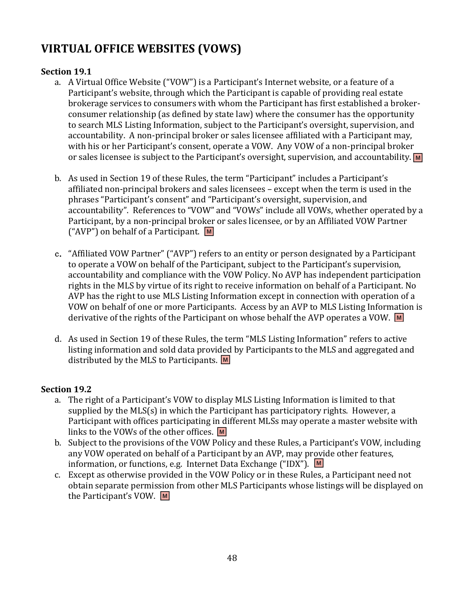# **VIRTUAL OFFICE WEBSITES (VOWS)**

# **Section 19.1**

- a. A Virtual Office Website ("VOW") is a Participant's Internet website, or a feature of a Participant's website, through which the Participant is capable of providing real estate brokerage services to consumers with whom the Participant has first established a brokerconsumer relationship (as defined by state law) where the consumer has the opportunity to search MLS Listing Information, subject to the Participant's oversight, supervision, and accountability. A non-principal broker or sales licensee affiliated with a Participant may, with his or her Participant's consent, operate a VOW. Any VOW of a non-principal broker or sales licensee is subject to the Participant's oversight, supervision, and accountability. **M**
- b. As used in Section 19 of these Rules, the term "Participant" includes a Participant's affiliated non-principal brokers and sales licensees – except when the term is used in the phrases "Participant's consent" and "Participant's oversight, supervision, and accountability". References to "VOW" and "VOWs" include all VOWs, whether operated by a Participant, by a non-principal broker or sales licensee, or by an Affiliated VOW Partner ("AVP") on behalf of a Participant. **M**
- c. "Affiliated VOW Partner" ("AVP") refers to an entity or person designated by a Participant to operate a VOW on behalf of the Participant, subject to the Participant's supervision, accountability and compliance with the VOW Policy. No AVP has independent participation rights in the MLS by virtue of its right to receive information on behalf of a Participant. No AVP has the right to use MLS Listing Information except in connection with operation of a VOW on behalf of one or more Participants. Access by an AVP to MLS Listing Information is derivative of the rights of the Participant on whose behalf the AVP operates a VOW. **M**
- d. As used in Section 19 of these Rules, the term "MLS Listing Information" refers to active listing information and sold data provided by Participants to the MLS and aggregated and distributed by the MLS to Participants. **M**

# **Section 19.2**

- a. The right of a Participant's VOW to display MLS Listing Information is limited to that supplied by the MLS(s) in which the Participant has participatory rights. However, a Participant with offices participating in different MLSs may operate a master website with links to the VOWs of the other offices. **M**
- b. Subject to the provisions of the VOW Policy and these Rules, a Participant's VOW, including any VOW operated on behalf of a Participant by an AVP, may provide other features, information, or functions, e.g. Internet Data Exchange ("IDX"). **M**
- c. Except as otherwise provided in the VOW Policy or in these Rules, a Participant need not obtain separate permission from other MLS Participants whose listings will be displayed on the Participant's VOW. **M**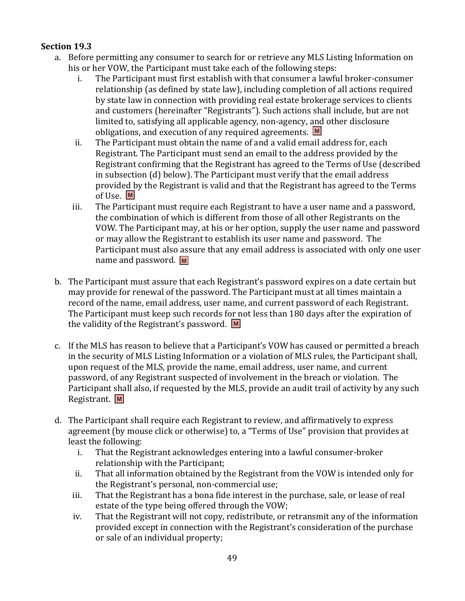- a. Before permitting any consumer to search for or retrieve any MLS Listing Information on his or her VOW, the Participant must take each of the following steps:
	- i. The Participant must first establish with that consumer a lawful broker-consumer relationship (as defined by state law), including completion of all actions required by state law in connection with providing real estate brokerage services to clients and customers (hereinafter "Registrants"). Such actions shall include, but are not limited to, satisfying all applicable agency, non-agency, and other disclosure obligations, and execution of any required agreements. **M**
	- ii. The Participant must obtain the name of and a valid email address for, each Registrant. The Participant must send an email to the address provided by the Registrant confirming that the Registrant has agreed to the Terms of Use (described in subsection (d) below). The Participant must verify that the email address provided by the Registrant is valid and that the Registrant has agreed to the Terms of Use. **M**
	- iii. The Participant must require each Registrant to have a user name and a password, the combination of which is different from those of all other Registrants on the VOW. The Participant may, at his or her option, supply the user name and password or may allow the Registrant to establish its user name and password. The Participant must also assure that any email address is associated with only one user name and password. **M**
- b. The Participant must assure that each Registrant's password expires on a date certain but may provide for renewal of the password. The Participant must at all times maintain a record of the name, email address, user name, and current password of each Registrant. The Participant must keep such records for not less than 180 days after the expiration of the validity of the Registrant's password. **M**
- c. If the MLS has reason to believe that a Participant's VOW has caused or permitted a breach in the security of MLS Listing Information or a violation of MLS rules, the Participant shall, upon request of the MLS, provide the name, email address, user name, and current password, of any Registrant suspected of involvement in the breach or violation. The Participant shall also, if requested by the MLS, provide an audit trail of activity by any such Registrant. **M**
- d. The Participant shall require each Registrant to review, and affirmatively to express agreement (by mouse click or otherwise) to, a "Terms of Use" provision that provides at least the following:
	- i. That the Registrant acknowledges entering into a lawful consumer-broker relationship with the Participant;
	- ii. That all information obtained by the Registrant from the VOW is intended only for the Registrant's personal, non-commercial use;
	- iii. That the Registrant has a bona fide interest in the purchase, sale, or lease of real estate of the type being offered through the VOW;
	- iv. That the Registrant will not copy, redistribute, or retransmit any of the information provided except in connection with the Registrant's consideration of the purchase or sale of an individual property;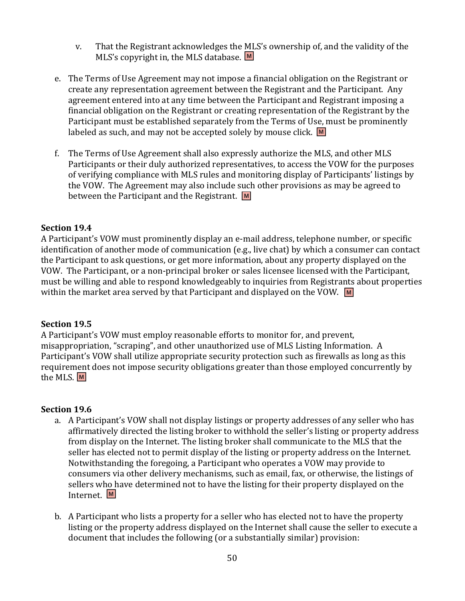- v. That the Registrant acknowledges the MLS's ownership of, and the validity of the MLS's copyright in, the MLS database. **M**
- e. The Terms of Use Agreement may not impose a financial obligation on the Registrant or create any representation agreement between the Registrant and the Participant. Any agreement entered into at any time between the Participant and Registrant imposing a financial obligation on the Registrant or creating representation of the Registrant by the Participant must be established separately from the Terms of Use, must be prominently labeled as such, and may not be accepted solely by mouse click. **M**
- f. The Terms of Use Agreement shall also expressly authorize the MLS, and other MLS Participants or their duly authorized representatives, to access the VOW for the purposes of verifying compliance with MLS rules and monitoring display of Participants' listings by the VOW. The Agreement may also include such other provisions as may be agreed to between the Participant and the Registrant. **M**

A Participant's VOW must prominently display an e-mail address, telephone number, or specific identification of another mode of communication (e.g., live chat) by which a consumer can contact the Participant to ask questions, or get more information, about any property displayed on the VOW. The Participant, or a non-principal broker or sales licensee licensed with the Participant, must be willing and able to respond knowledgeably to inquiries from Registrants about properties within the market area served by that Participant and displayed on the VOW. **M**

#### **Section 19.5**

A Participant's VOW must employ reasonable efforts to monitor for, and prevent, misappropriation, "scraping", and other unauthorized use of MLS Listing Information. A Participant's VOW shall utilize appropriate security protection such as firewalls as long as this requirement does not impose security obligations greater than those employed concurrently by the MLS. **M**

#### **Section 19.6**

- a. A Participant's VOW shall not display listings or property addresses of any seller who has affirmatively directed the listing broker to withhold the seller's listing or property address from display on the Internet. The listing broker shall communicate to the MLS that the seller has elected not to permit display of the listing or property address on the Internet. Notwithstanding the foregoing, a Participant who operates a VOW may provide to consumers via other delivery mechanisms, such as email, fax, or otherwise, the listings of sellers who have determined not to have the listing for their property displayed on the Internet. **M**
- b. A Participant who lists a property for a seller who has elected not to have the property listing or the property address displayed on the Internet shall cause the seller to execute a document that includes the following (or a substantially similar) provision: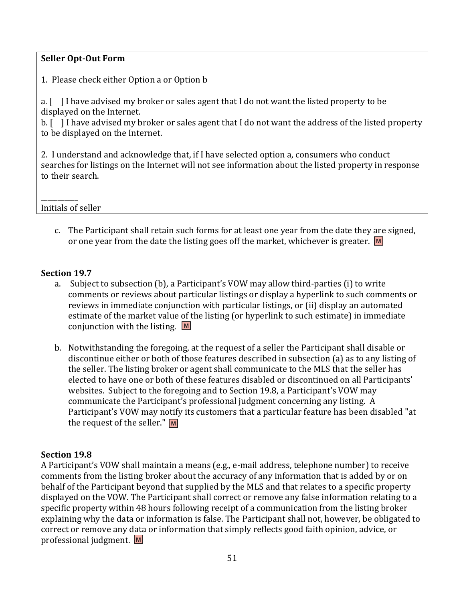## **Seller Opt-Out Form**

1. Please check either Option a or Option b

a. [ ] I have advised my broker or sales agent that I do not want the listed property to be displayed on the Internet.

b. [ ] I have advised my broker or sales agent that I do not want the address of the listed property to be displayed on the Internet.

2. I understand and acknowledge that, if I have selected option a, consumers who conduct searches for listings on the Internet will not see information about the listed property in response to their search.

\_\_\_\_\_\_\_\_\_\_\_ Initials of seller

> c. The Participant shall retain such forms for at least one year from the date they are signed, or one year from the date the listing goes off the market, whichever is greater. **M**

#### **Section 19.7**

- a. Subject to subsection (b), a Participant's VOW may allow third-parties (i) to write comments or reviews about particular listings or display a hyperlink to such comments or reviews in immediate conjunction with particular listings, or (ii) display an automated estimate of the market value of the listing (or hyperlink to such estimate) in immediate conjunction with the listing. **M**
- b. Notwithstanding the foregoing, at the request of a seller the Participant shall disable or discontinue either or both of those features described in subsection (a) as to any listing of the seller. The listing broker or agent shall communicate to the MLS that the seller has elected to have one or both of these features disabled or discontinued on all Participants' websites. Subject to the foregoing and to Section 19.8, a Participant's VOW may communicate the Participant's professional judgment concerning any listing. A Participant's VOW may notify its customers that a particular feature has been disabled "at the request of the seller." **M**

#### **Section 19.8**

A Participant's VOW shall maintain a means (e.g., e-mail address, telephone number) to receive comments from the listing broker about the accuracy of any information that is added by or on behalf of the Participant beyond that supplied by the MLS and that relates to a specific property displayed on the VOW. The Participant shall correct or remove any false information relating to a specific property within 48 hours following receipt of a communication from the listing broker explaining why the data or information is false. The Participant shall not, however, be obligated to correct or remove any data or information that simply reflects good faith opinion, advice, or professional judgment. **M**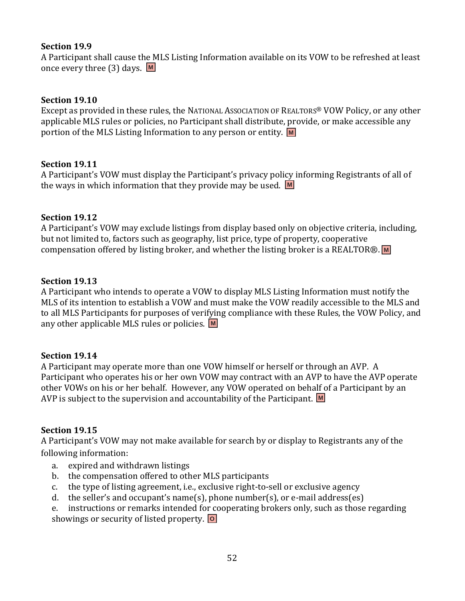A Participant shall cause the MLS Listing Information available on its VOW to be refreshed at least once every three (3) days. **M**

## **Section 19.10**

Except as provided in these rules, the NATIONAL ASSOCIATION OF REALTORS® VOW Policy, or any other applicable MLS rules or policies, no Participant shall distribute, provide, or make accessible any portion of the MLS Listing Information to any person or entity. **M**

## **Section 19.11**

A Participant's VOW must display the Participant's privacy policy informing Registrants of all of the ways in which information that they provide may be used. **M**

## **Section 19.12**

A Participant's VOW may exclude listings from display based only on objective criteria, including, but not limited to, factors such as geography, list price, type of property, cooperative compensation offered by listing broker, and whether the listing broker is a REALTOR®. **M**

## **Section 19.13**

A Participant who intends to operate a VOW to display MLS Listing Information must notify the MLS of its intention to establish a VOW and must make the VOW readily accessible to the MLS and to all MLS Participants for purposes of verifying compliance with these Rules, the VOW Policy, and any other applicable MLS rules or policies. **M**

## **Section 19.14**

A Participant may operate more than one VOW himself or herself or through an AVP. A Participant who operates his or her own VOW may contract with an AVP to have the AVP operate other VOWs on his or her behalf. However, any VOW operated on behalf of a Participant by an AVP is subject to the supervision and accountability of the Participant. **M**

## **Section 19.15**

A Participant's VOW may not make available for search by or display to Registrants any of the following information:

- a. expired and withdrawn listings
- b. the compensation offered to other MLS participants
- c. the type of listing agreement, i.e., exclusive right-to-sell or exclusive agency
- d. the seller's and occupant's name(s), phone number(s), or e-mail address(es)
- e. instructions or remarks intended for cooperating brokers only, such as those regarding showings or security of listed property. **O**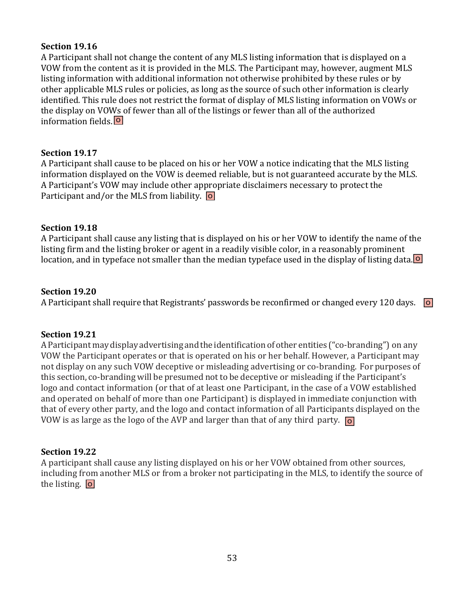A Participant shall not change the content of any MLS listing information that is displayed on a VOW from the content as it is provided in the MLS. The Participant may, however, augment MLS listing information with additional information not otherwise prohibited by these rules or by other applicable MLS rules or policies, as long as the source of such other information is clearly identified. This rule does not restrict the format of display of MLS listing information on VOWs or the display on VOWs of fewer than all of the listings or fewer than all of the authorized information fields. **O**

## **Section 19.17**

A Participant shall cause to be placed on his or her VOW a notice indicating that the MLS listing information displayed on the VOW is deemed reliable, but is not guaranteed accurate by the MLS. A Participant's VOW may include other appropriate disclaimers necessary to protect the Participant and/or the MLS from liability. **O**

## **Section 19.18**

A Participant shall cause any listing that is displayed on his or her VOW to identify the name of the listing firm and the listing broker or agent in a readily visible color, in a reasonably prominent location, and in typeface not smaller than the median typeface used in the display of listing data. **O**

## **Section 19.20**

A Participant shall require that Registrants' passwords be reconfirmed or changed every 120 days. **O**

## **Section 19.21**

A Participant may display advertising and the identification of other entities ("co-branding") on any VOW the Participant operates or that is operated on his or her behalf. However, a Participant may not display on any such VOW deceptive or misleading advertising or co-branding. For purposes of this section, co-branding will be presumed not to be deceptive or misleading if the Participant's logo and contact information (or that of at least one Participant, in the case of a VOW established and operated on behalf of more than one Participant) is displayed in immediate conjunction with that of every other party, and the logo and contact information of all Participants displayed on the VOW is as large as the logo of the AVP and larger than that of any third party. **O**

## **Section 19.22**

A participant shall cause any listing displayed on his or her VOW obtained from other sources, including from another MLS or from a broker not participating in the MLS, to identify the source of the listing. **O**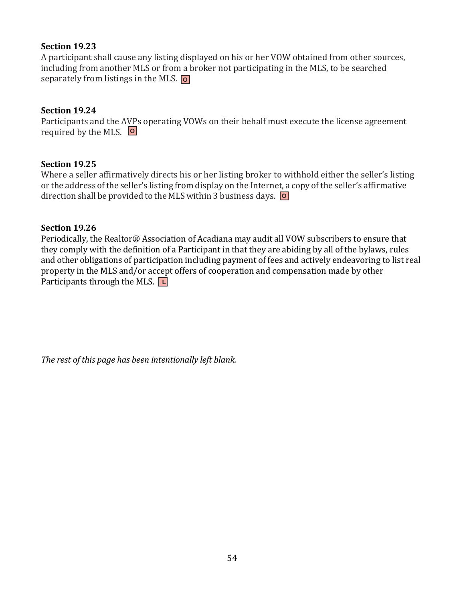A participant shall cause any listing displayed on his or her VOW obtained from other sources, including from another MLS or from a broker not participating in the MLS, to be searched separately from listings in the MLS. **O**

## **Section 19.24**

Participants and the AVPs operating VOWs on their behalf must execute the license agreement required by the MLS. **O**

## **Section 19.25**

Where a seller affirmatively directs his or her listing broker to withhold either the seller's listing or the address ofthe seller's listing from display on the Internet, a copy ofthe seller's affirmative direction shall be provided to the MLS within 3 business days. **O**

## **Section 19.26**

Periodically, the Realtor® Association of Acadiana may audit all VOW subscribers to ensure that they comply with the definition of a Participant in that they are abiding by all of the bylaws, rules and other obligations of participation including payment of fees and actively endeavoring to list real property in the MLS and/or accept offers of cooperation and compensation made by other Participants through the MLS. **L**

*The rest of this page has been intentionally left blank.*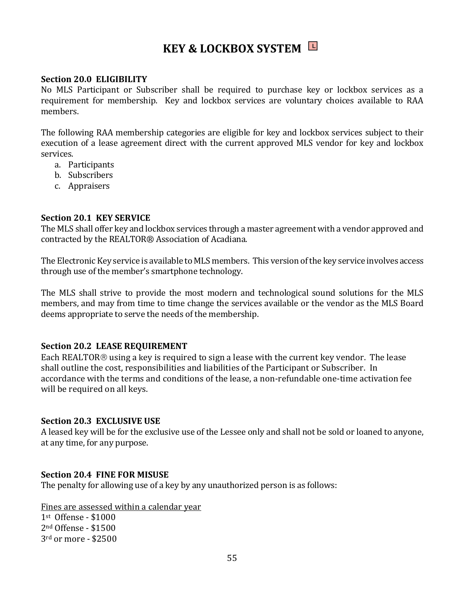# **KEY & LOCKBOX SYSTEM L**

#### **Section 20.0 ELIGIBILITY**

No MLS Participant or Subscriber shall be required to purchase key or lockbox services as a requirement for membership. Key and lockbox services are voluntary choices available to RAA members.

The following RAA membership categories are eligible for key and lockbox services subject to their execution of a lease agreement direct with the current approved MLS vendor for key and lockbox services.

- a. Participants
- b. Subscribers
- c. Appraisers

#### **Section 20.1 KEY SERVICE**

The MLS shall offer key and lockbox services through a master agreement with a vendor approved and contracted by the REALTOR® Association of Acadiana.

The Electronic Key service is available to MLS members. This version of the key service involves access through use of the member's smartphone technology.

The MLS shall strive to provide the most modern and technological sound solutions for the MLS members, and may from time to time change the services available or the vendor as the MLS Board deems appropriate to serve the needs of the membership.

#### **Section 20.2 LEASE REQUIREMENT**

Each REALTOR<sup>®</sup> using a key is required to sign a lease with the current key vendor. The lease shall outline the cost, responsibilities and liabilities of the Participant or Subscriber. In accordance with the terms and conditions of the lease, a non-refundable one-time activation fee will be required on all keys.

#### **Section 20.3 EXCLUSIVE USE**

A leased key will be for the exclusive use of the Lessee only and shall not be sold or loaned to anyone, at any time, for any purpose.

#### **Section 20.4 FINE FOR MISUSE**

The penalty for allowing use of a key by any unauthorized person is as follows:

Fines are assessed within a calendar year

1st Offense - \$1000 2nd Offense - \$1500 3rd or more - \$2500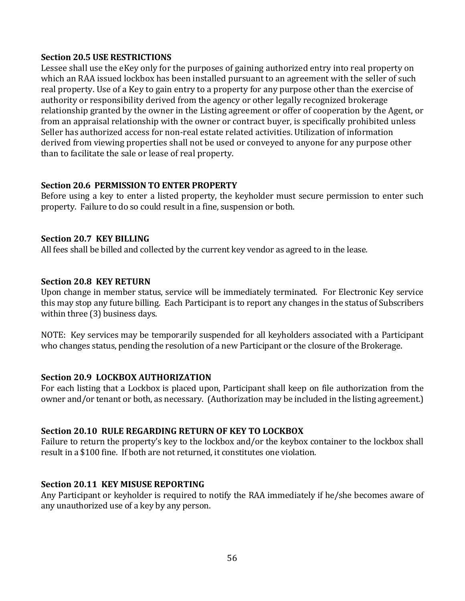### **Section 20.5 USE RESTRICTIONS**

Lessee shall use the eKey only for the purposes of gaining authorized entry into real property on which an RAA issued lockbox has been installed pursuant to an agreement with the seller of such real property. Use of a Key to gain entry to a property for any purpose other than the exercise of authority or responsibility derived from the agency or other legally recognized brokerage relationship granted by the owner in the Listing agreement or offer of cooperation by the Agent, or from an appraisal relationship with the owner or contract buyer, is specifically prohibited unless Seller has authorized access for non-real estate related activities. Utilization of information derived from viewing properties shall not be used or conveyed to anyone for any purpose other than to facilitate the sale or lease of real property.

#### **Section 20.6 PERMISSION TO ENTER PROPERTY**

Before using a key to enter a listed property, the keyholder must secure permission to enter such property. Failure to do so could result in a fine, suspension or both.

#### **Section 20.7 KEY BILLING**

All fees shall be billed and collected by the current key vendor as agreed to in the lease.

#### **Section 20.8 KEY RETURN**

Upon change in member status, service will be immediately terminated. For Electronic Key service this may stop any future billing. Each Participant is to report any changes in the status of Subscribers within three (3) business days.

NOTE: Key services may be temporarily suspended for all keyholders associated with a Participant who changes status, pending the resolution of a new Participant or the closure of the Brokerage.

#### **Section 20.9 LOCKBOX AUTHORIZATION**

For each listing that a Lockbox is placed upon, Participant shall keep on file authorization from the owner and/or tenant or both, as necessary. (Authorization may be included in the listing agreement.)

## **Section 20.10 RULE REGARDING RETURN OF KEY TO LOCKBOX**

Failure to return the property's key to the lockbox and/or the keybox container to the lockbox shall result in a \$100 fine. If both are not returned, it constitutes one violation.

## **Section 20.11 KEY MISUSE REPORTING**

Any Participant or keyholder is required to notify the RAA immediately if he/she becomes aware of any unauthorized use of a key by any person.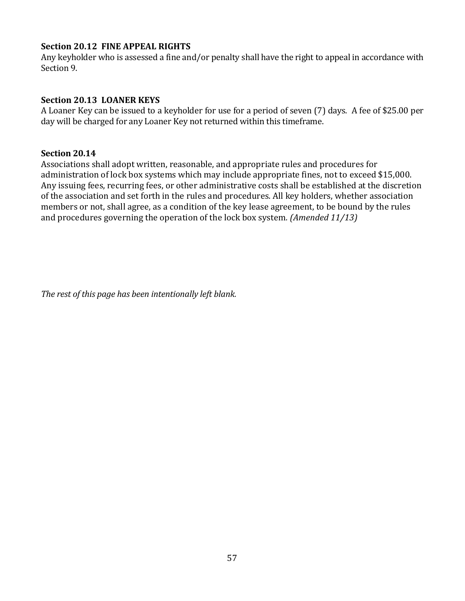## **Section 20.12 FINE APPEAL RIGHTS**

Any keyholder who is assessed a fine and/or penalty shall have the right to appeal in accordance with Section 9.

## **Section 20.13 LOANER KEYS**

A Loaner Key can be issued to a keyholder for use for a period of seven (7) days. A fee of \$25.00 per day will be charged for any Loaner Key not returned within this timeframe.

#### **Section 20.14**

Associations shall adopt written, reasonable, and appropriate rules and procedures for administration of lock box systems which may include appropriate fines, not to exceed \$15,000. Any issuing fees, recurring fees, or other administrative costs shall be established at the discretion of the association and set forth in the rules and procedures. All key holders, whether association members or not, shall agree, as a condition of the key lease agreement, to be bound by the rules and procedures governing the operation of the lock box system*. (Amended 11/13)*

*The rest of this page has been intentionally left blank.*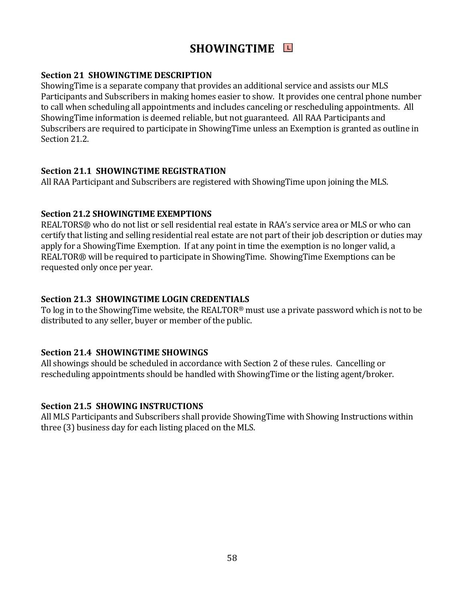# **SHOWINGTIME L**

## **Section 21 SHOWINGTIME DESCRIPTION**

ShowingTime is a separate company that provides an additional service and assists our MLS Participants and Subscribers in making homes easier to show. It provides one central phone number to call when scheduling all appointments and includes canceling or rescheduling appointments. All ShowingTime information is deemed reliable, but not guaranteed. All RAA Participants and Subscribers are required to participate in ShowingTime unless an Exemption is granted as outline in Section 21.2.

## **Section 21.1 SHOWINGTIME REGISTRATION**

All RAA Participant and Subscribers are registered with ShowingTime upon joining the MLS.

## **Section 21.2 SHOWINGTIME EXEMPTIONS**

REALTORS® who do not list or sell residential real estate in RAA's service area or MLS or who can certify that listing and selling residential real estate are not part of their job description or duties may apply for a ShowingTime Exemption. If at any point in time the exemption is no longer valid, a REALTOR® will be required to participate in ShowingTime. ShowingTime Exemptions can be requested only once per year.

## **Section 21.3 SHOWINGTIME LOGIN CREDENTIALS**

To log in to the ShowingTime website, the REALTOR® must use a private password which is not to be distributed to any seller, buyer or member of the public.

## **Section 21.4 SHOWINGTIME SHOWINGS**

All showings should be scheduled in accordance with Section 2 of these rules. Cancelling or rescheduling appointments should be handled with ShowingTime or the listing agent/broker.

## **Section 21.5 SHOWING INSTRUCTIONS**

All MLS Participants and Subscribers shall provide ShowingTime with Showing Instructions within three (3) business day for each listing placed on the MLS.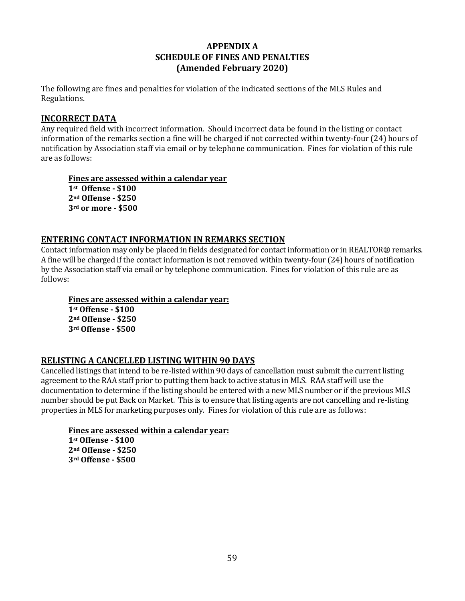## **APPENDIX A SCHEDULE OF FINES AND PENALTIES (Amended February 2020)**

The following are fines and penalties for violation of the indicated sections of the MLS Rules and Regulations.

#### **INCORRECT DATA**

Any required field with incorrect information. Should incorrect data be found in the listing or contact information of the remarks section a fine will be charged if not corrected within twenty-four (24) hours of notification by Association staff via email or by telephone communication. Fines for violation of this rule are as follows:

**Fines are assessed within a calendar year st Offense - \$100 nd Offense - \$250 rd or more - \$500**

#### **ENTERING CONTACT INFORMATION IN REMARKS SECTION**

Contact information may only be placed in fields designated for contact information or in REALTOR® remarks. A fine will be charged if the contact information is not removed within twenty-four (24) hours of notification by the Association staff via email or by telephone communication. Fines for violation of this rule are as follows:

**Fines are assessed within a calendar year:**

**1st Offense - \$100 2nd Offense - \$250 3rd Offense - \$500**

## **RELISTING A CANCELLED LISTING WITHIN 90 DAYS**

Cancelled listings that intend to be re-listed within 90 days of cancellation must submit the current listing agreement to the RAA staff prior to putting them back to active status in MLS. RAA staff will use the documentation to determine if the listing should be entered with a new MLS number or if the previous MLS number should be put Back on Market. This is to ensure that listing agents are not cancelling and re-listing properties in MLS for marketing purposes only. Fines for violation of this rule are as follows:

**Fines are assessed within a calendar year: st Offense - \$100 nd Offense - \$250 rd Offense - \$500**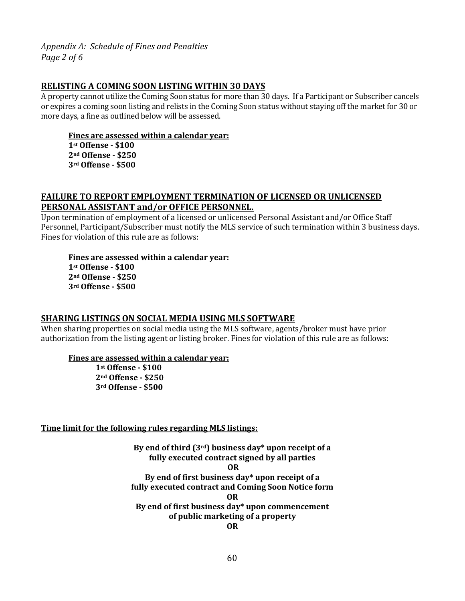*Appendix A: Schedule of Fines and Penalties Page 2 of 6*

#### **RELISTING A COMING SOON LISTING WITHIN 30 DAYS**

A property cannot utilize the Coming Soon status for more than 30 days. If a Participant or Subscriber cancels or expires a coming soon listing and relists in the Coming Soon status without staying off the market for 30 or more days, a fine as outlined below will be assessed.

### **Fines are assessed within a calendar year:**

**1st Offense - \$100 2nd Offense - \$250 3rd Offense - \$500**

#### **FAILURE TO REPORT EMPLOYMENT TERMINATION OF LICENSED OR UNLICENSED PERSONAL ASSISTANT and/or OFFICE PERSONNEL.**

Upon termination of employment of a licensed or unlicensed Personal Assistant and/or Office Staff Personnel, Participant/Subscriber must notify the MLS service of such termination within 3 business days. Fines for violation of this rule are as follows:

#### **Fines are assessed within a calendar year:**

**1st Offense - \$100 2nd Offense - \$250 3rd Offense - \$500**

#### **SHARING LISTINGS ON SOCIAL MEDIA USING MLS SOFTWARE**

When sharing properties on social media using the MLS software, agents/broker must have prior authorization from the listing agent or listing broker. Fines for violation of this rule are as follows:

#### **Fines are assessed within a calendar year:**

**1st Offense - \$100 2nd Offense - \$250 3rd Offense - \$500**

#### **Time limit for the following rules regarding MLS listings:**

**By end of third (3rd) business day\* upon receipt of a fully executed contract signed by all parties OR By end of first business day\* upon receipt of a fully executed contract and Coming Soon Notice form OR By end of first business day\* upon commencement of public marketing of a property OR**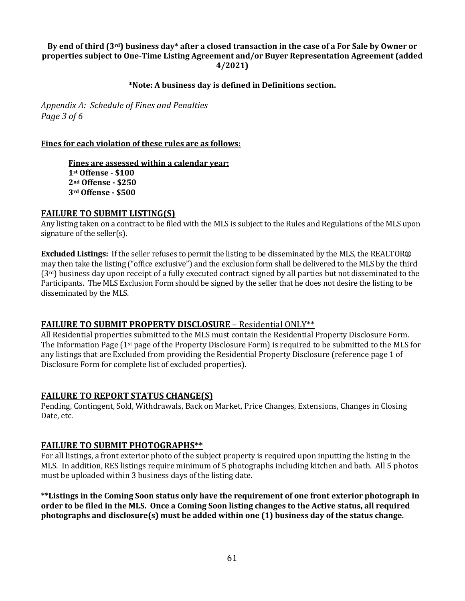#### **By end of third (3rd) business day\* after a closed transaction in the case of a For Sale by Owner or properties subject to One-Time Listing Agreement and/or Buyer Representation Agreement (added 4/2021)**

#### **\*Note: A business day is defined in Definitions section.**

*Appendix A: Schedule of Fines and Penalties Page 3 of 6*

#### **Fines for each violation of these rules are as follows:**

**Fines are assessed within a calendar year: st Offense - \$100 nd Offense - \$250 rd Offense - \$500**

#### **FAILURE TO SUBMIT LISTING(S)**

Any listing taken on a contract to be filed with the MLS is subject to the Rules and Regulations of the MLS upon signature of the seller(s).

**Excluded Listings:** If the seller refuses to permit the listing to be disseminated by the MLS, the REALTOR® may then take the listing ("office exclusive") and the exclusion form shall be delivered to the MLS by the third  $(3<sup>rd</sup>)$  business day upon receipt of a fully executed contract signed by all parties but not disseminated to the Participants. The MLS Exclusion Form should be signed by the seller that he does not desire the listing to be disseminated by the MLS.

#### **FAILURE TO SUBMIT PROPERTY DISCLOSURE** – Residential ONLY\*\*

All Residential properties submitted to the MLS must contain the Residential Property Disclosure Form. The Information Page (1<sup>st</sup> page of the Property Disclosure Form) is required to be submitted to the MLS for any listings that are Excluded from providing the Residential Property Disclosure (reference page 1 of Disclosure Form for complete list of excluded properties).

#### **FAILURE TO REPORT STATUS CHANGE(S)**

Pending, Contingent, Sold, Withdrawals, Back on Market, Price Changes, Extensions, Changes in Closing Date, etc.

#### **FAILURE TO SUBMIT PHOTOGRAPHS\*\***

For all listings, a front exterior photo of the subject property is required upon inputting the listing in the MLS. In addition, RES listings require minimum of 5 photographs including kitchen and bath. All 5 photos must be uploaded within 3 business days of the listing date.

**\*\*Listings in the Coming Soon status only have the requirement of one front exterior photograph in order to be filed in the MLS. Once a Coming Soon listing changes to the Active status, all required photographs and disclosure(s) must be added within one (1) business day of the status change.**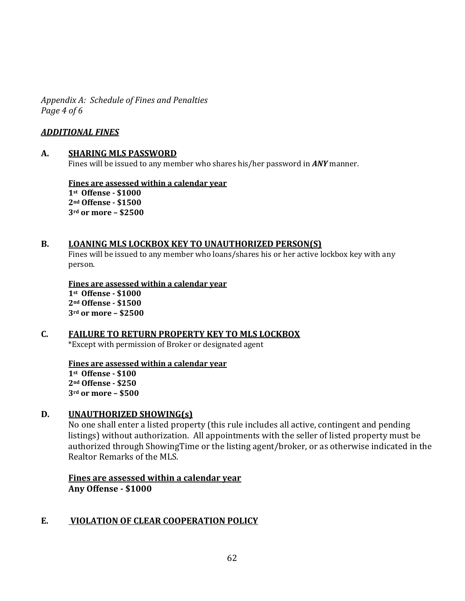*Appendix A: Schedule of Fines and Penalties Page 4 of 6*

### *ADDITIONAL FINES*

#### **A. SHARING MLS PASSWORD**

Fines will be issued to any member who shares his/her password in *ANY* manner.

**Fines are assessed within a calendar year st Offense - \$1000 nd Offense - \$1500 rd or more – \$2500**

#### **B. LOANING MLS LOCKBOX KEY TO UNAUTHORIZED PERSON(S)**

Fines will be issued to any member who loans/shares his or her active lockbox key with any person.

**Fines are assessed within a calendar year st Offense - \$1000 nd Offense - \$1500 rd or more – \$2500**

# **C. FAILURE TO RETURN PROPERTY KEY TO MLS LOCKBOX**

\*Except with permission of Broker or designated agent

**Fines are assessed within a calendar year st Offense - \$100 nd Offense - \$250 rd or more – \$500**

#### **D. UNAUTHORIZED SHOWING(s)**

No one shall enter a listed property (this rule includes all active, contingent and pending listings) without authorization. All appointments with the seller of listed property must be authorized through ShowingTime or the listing agent/broker, or as otherwise indicated in the Realtor Remarks of the MLS.

**Fines are assessed within a calendar year Any Offense - \$1000**

## **E. VIOLATION OF CLEAR COOPERATION POLICY**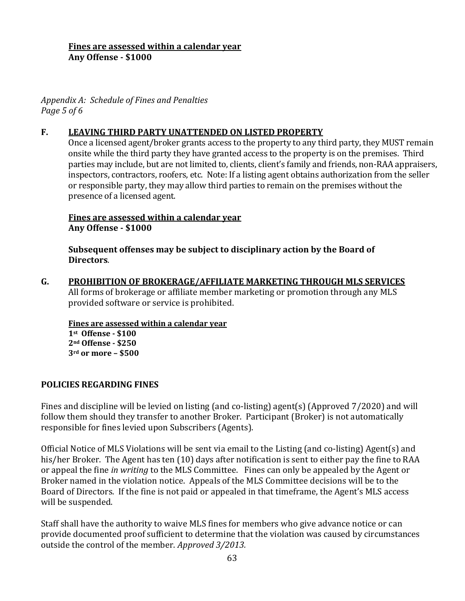## **Fines are assessed within a calendar year Any Offense - \$1000**

*Appendix A: Schedule of Fines and Penalties Page 5 of 6*

## **F. LEAVING THIRD PARTY UNATTENDED ON LISTED PROPERTY**

Once a licensed agent/broker grants access to the property to any third party, they MUST remain onsite while the third party they have granted access to the property is on the premises. Third parties may include, but are not limited to, clients, client's family and friends, non-RAA appraisers, inspectors, contractors, roofers, etc. Note: If a listing agent obtains authorization from the seller or responsible party, they may allow third parties to remain on the premises without the presence of a licensed agent.

## **Fines are assessed within a calendar year Any Offense - \$1000**

**Subsequent offenses may be subject to disciplinary action by the Board of Directors**.

**G. PROHIBITION OF BROKERAGE/AFFILIATE MARKETING THROUGH MLS SERVICES** All forms of brokerage or affiliate member marketing or promotion through any MLS provided software or service is prohibited.

**Fines are assessed within a calendar year 1st Offense - \$100**

**2nd Offense - \$250 3rd or more – \$500**

## **POLICIES REGARDING FINES**

Fines and discipline will be levied on listing (and co-listing) agent(s) (Approved 7/2020) and will follow them should they transfer to another Broker. Participant (Broker) is not automatically responsible for fines levied upon Subscribers (Agents).

Official Notice of MLS Violations will be sent via email to the Listing (and co-listing) Agent(s) and his/her Broker. The Agent has ten (10) days after notification is sent to either pay the fine to RAA or appeal the fine *in writing* to the MLS Committee. Fines can only be appealed by the Agent or Broker named in the violation notice. Appeals of the MLS Committee decisions will be to the Board of Directors. If the fine is not paid or appealed in that timeframe, the Agent's MLS access will be suspended.

Staff shall have the authority to waive MLS fines for members who give advance notice or can provide documented proof sufficient to determine that the violation was caused by circumstances outside the control of the member. *Approved 3/2013.*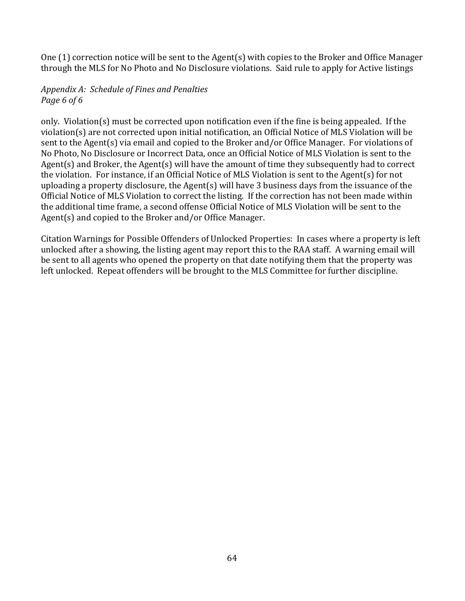One (1) correction notice will be sent to the Agent(s) with copies to the Broker and Office Manager through the MLS for No Photo and No Disclosure violations. Said rule to apply for Active listings

## *Appendix A: Schedule of Fines and Penalties Page 6 of 6*

only. Violation(s) must be corrected upon notification even if the fine is being appealed. If the violation(s) are not corrected upon initial notification, an Official Notice of MLS Violation will be sent to the Agent(s) via email and copied to the Broker and/or Office Manager. For violations of No Photo, No Disclosure or Incorrect Data, once an Official Notice of MLS Violation is sent to the Agent(s) and Broker, the Agent(s) will have the amount of time they subsequently had to correct the violation. For instance, if an Official Notice of MLS Violation is sent to the Agent(s) for not uploading a property disclosure, the Agent(s) will have 3 business days from the issuance of the Official Notice of MLS Violation to correct the listing. If the correction has not been made within the additional time frame, a second offense Official Notice of MLS Violation will be sent to the Agent(s) and copied to the Broker and/or Office Manager.

Citation Warnings for Possible Offenders of Unlocked Properties: In cases where a property is left unlocked after a showing, the listing agent may report this to the RAA staff. A warning email will be sent to all agents who opened the property on that date notifying them that the property was left unlocked. Repeat offenders will be brought to the MLS Committee for further discipline.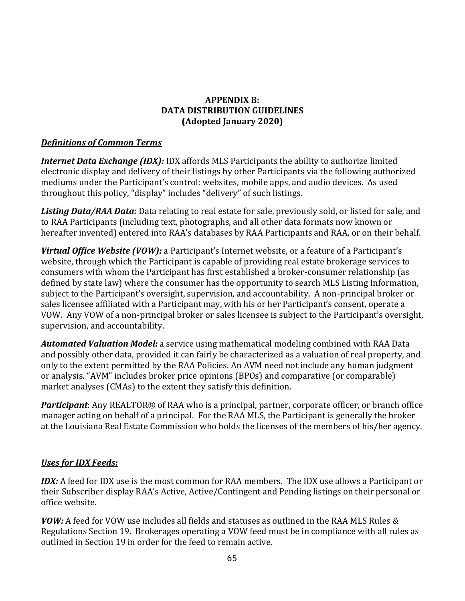## **APPENDIX B: DATA DISTRIBUTION GUIDELINES (Adopted January 2020)**

## *Definitions of Common Terms*

*Internet Data Exchange (IDX):* IDX affords MLS Participants the ability to authorize limited electronic display and delivery of their listings by other Participants via the following authorized mediums under the Participant's control: websites, mobile apps, and audio devices. As used throughout this policy, "display" includes "delivery" of such listings.

*Listing Data/RAA Data:* Data relating to real estate for sale, previously sold, or listed for sale, and to RAA Participants (including text, photographs, and all other data formats now known or hereafter invented) entered into RAA's databases by RAA Participants and RAA, or on their behalf.

*Virtual Office Website (VOW):* a Participant's Internet website, or a feature of a Participant's website, through which the Participant is capable of providing real estate brokerage services to consumers with whom the Participant has first established a broker-consumer relationship (as defined by state law) where the consumer has the opportunity to search MLS Listing Information, subject to the Participant's oversight, supervision, and accountability. A non-principal broker or sales licensee affiliated with a Participant may, with his or her Participant's consent, operate a VOW. Any VOW of a non-principal broker or sales licensee is subject to the Participant's oversight, supervision, and accountability.

*Automated Valuation Model:* a service using mathematical modeling combined with RAA Data and possibly other data, provided it can fairly be characterized as a valuation of real property, and only to the extent permitted by the RAA Policies. An AVM need not include any human judgment or analysis. "AVM" includes broker price opinions (BPOs) and comparative (or comparable) market analyses (CMAs) to the extent they satisfy this definition.

*Participant*: Any REALTOR® of RAA who is a principal, partner, corporate officer, or branch office manager acting on behalf of a principal. For the RAA MLS, the Participant is generally the broker at the Louisiana Real Estate Commission who holds the licenses of the members of his/her agency.

## *Uses for IDX Feeds:*

*IDX:* A feed for IDX use is the most common for RAA members. The IDX use allows a Participant or their Subscriber display RAA's Active, Active/Contingent and Pending listings on their personal or office website.

*VOW:* A feed for VOW use includes all fields and statuses as outlined in the RAA MLS Rules & Regulations Section 19. Brokerages operating a VOW feed must be in compliance with all rules as outlined in Section 19 in order for the feed to remain active.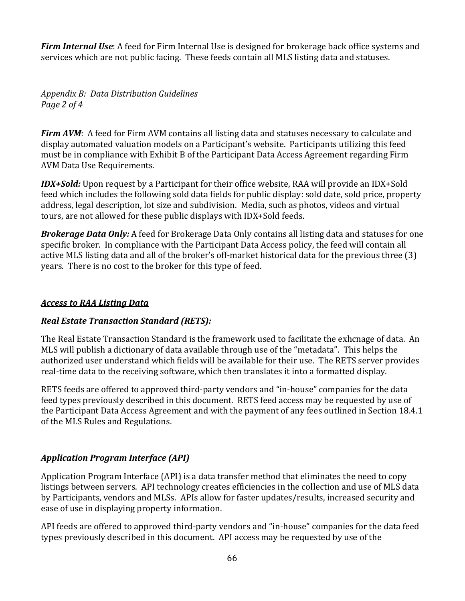*Firm Internal Use*: A feed for Firm Internal Use is designed for brokerage back office systems and services which are not public facing. These feeds contain all MLS listing data and statuses.

*Appendix B: Data Distribution Guidelines Page 2 of 4*

*Firm AVM*: A feed for Firm AVM contains all listing data and statuses necessary to calculate and display automated valuation models on a Participant's website. Participants utilizing this feed must be in compliance with Exhibit B of the Participant Data Access Agreement regarding Firm AVM Data Use Requirements.

*IDX+Sold:* Upon request by a Participant for their office website, RAA will provide an IDX+Sold feed which includes the following sold data fields for public display: sold date, sold price, property address, legal description, lot size and subdivision. Media, such as photos, videos and virtual tours, are not allowed for these public displays with IDX+Sold feeds.

*Brokerage Data Only:* A feed for Brokerage Data Only contains all listing data and statuses for one specific broker. In compliance with the Participant Data Access policy, the feed will contain all active MLS listing data and all of the broker's off-market historical data for the previous three (3) years. There is no cost to the broker for this type of feed.

## *Access to RAA Listing Data*

# *Real Estate Transaction Standard (RETS):*

The Real Estate Transaction Standard is the framework used to facilitate the exhcnage of data. An MLS will publish a dictionary of data available through use of the "metadata". This helps the authorized user understand which fields will be available for their use. The RETS server provides real-time data to the receiving software, which then translates it into a formatted display.

RETS feeds are offered to approved third-party vendors and "in-house" companies for the data feed types previously described in this document. RETS feed access may be requested by use of the Participant Data Access Agreement and with the payment of any fees outlined in Section 18.4.1 of the MLS Rules and Regulations.

# *Application Program Interface (API)*

Application Program Interface (API) is a data transfer method that eliminates the need to copy listings between servers. API technology creates efficiencies in the collection and use of MLS data by Participants, vendors and MLSs. APIs allow for faster updates/results, increased security and ease of use in displaying property information.

API feeds are offered to approved third-party vendors and "in-house" companies for the data feed types previously described in this document. API access may be requested by use of the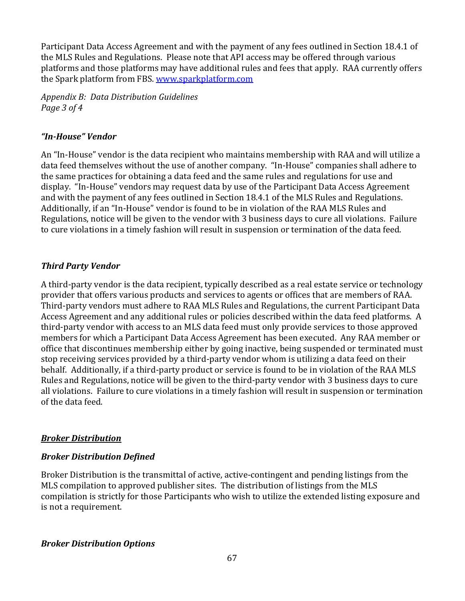Participant Data Access Agreement and with the payment of any fees outlined in Section 18.4.1 of the MLS Rules and Regulations. Please note that API access may be offered through various platforms and those platforms may have additional rules and fees that apply. RAA currently offers the Spark platform from FBS. [www.sparkplatform.com](http://www.sparkplatform.com/)

*Appendix B: Data Distribution Guidelines Page 3 of 4*

## *"In-House" Vendor*

An "In-House" vendor is the data recipient who maintains membership with RAA and will utilize a data feed themselves without the use of another company. "In-House" companies shall adhere to the same practices for obtaining a data feed and the same rules and regulations for use and display. "In-House" vendors may request data by use of the Participant Data Access Agreement and with the payment of any fees outlined in Section 18.4.1 of the MLS Rules and Regulations. Additionally, if an "In-House" vendor is found to be in violation of the RAA MLS Rules and Regulations, notice will be given to the vendor with 3 business days to cure all violations. Failure to cure violations in a timely fashion will result in suspension or termination of the data feed.

## *Third Party Vendor*

A third-party vendor is the data recipient, typically described as a real estate service or technology provider that offers various products and services to agents or offices that are members of RAA. Third-party vendors must adhere to RAA MLS Rules and Regulations, the current Participant Data Access Agreement and any additional rules or policies described within the data feed platforms. A third-party vendor with access to an MLS data feed must only provide services to those approved members for which a Participant Data Access Agreement has been executed. Any RAA member or office that discontinues membership either by going inactive, being suspended or terminated must stop receiving services provided by a third-party vendor whom is utilizing a data feed on their behalf. Additionally, if a third-party product or service is found to be in violation of the RAA MLS Rules and Regulations, notice will be given to the third-party vendor with 3 business days to cure all violations. Failure to cure violations in a timely fashion will result in suspension or termination of the data feed.

## *Broker Distribution*

## *Broker Distribution Defined*

Broker Distribution is the transmittal of active, active-contingent and pending listings from the MLS compilation to approved publisher sites. The distribution of listings from the MLS compilation is strictly for those Participants who wish to utilize the extended listing exposure and is not a requirement.

## *Broker Distribution Options*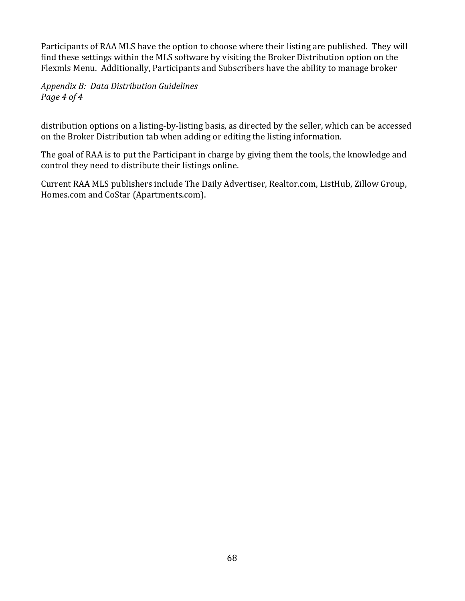Participants of RAA MLS have the option to choose where their listing are published. They will find these settings within the MLS software by visiting the Broker Distribution option on the Flexmls Menu. Additionally, Participants and Subscribers have the ability to manage broker

*Appendix B: Data Distribution Guidelines Page 4 of 4*

distribution options on a listing-by-listing basis, as directed by the seller, which can be accessed on the Broker Distribution tab when adding or editing the listing information.

The goal of RAA is to put the Participant in charge by giving them the tools, the knowledge and control they need to distribute their listings online.

Current RAA MLS publishers include The Daily Advertiser, Realtor.com, ListHub, Zillow Group, Homes.com and CoStar (Apartments.com).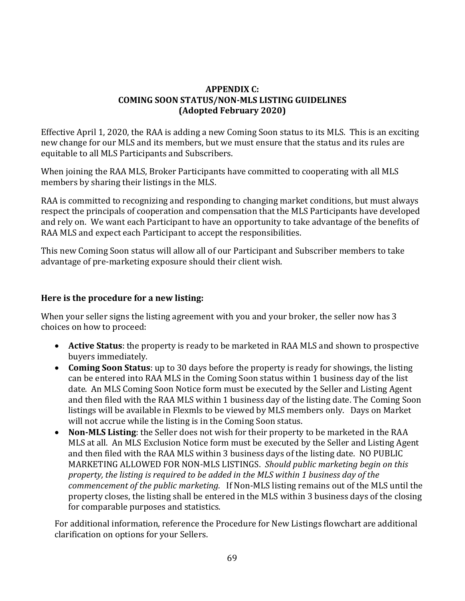## **APPENDIX C: COMING SOON STATUS/NON-MLS LISTING GUIDELINES (Adopted February 2020)**

Effective April 1, 2020, the RAA is adding a new Coming Soon status to its MLS. This is an exciting new change for our MLS and its members, but we must ensure that the status and its rules are equitable to all MLS Participants and Subscribers.

When joining the RAA MLS, Broker Participants have committed to cooperating with all MLS members by sharing their listings in the MLS.

RAA is committed to recognizing and responding to changing market conditions, but must always respect the principals of cooperation and compensation that the MLS Participants have developed and rely on. We want each Participant to have an opportunity to take advantage of the benefits of RAA MLS and expect each Participant to accept the responsibilities.

This new Coming Soon status will allow all of our Participant and Subscriber members to take advantage of pre-marketing exposure should their client wish.

## **Here is the procedure for a new listing:**

When your seller signs the listing agreement with you and your broker, the seller now has 3 choices on how to proceed:

- **Active Status**: the property is ready to be marketed in RAA MLS and shown to prospective buyers immediately.
- **Coming Soon Status**: up to 30 days before the property is ready for showings, the listing can be entered into RAA MLS in the Coming Soon status within 1 business day of the list date. An MLS Coming Soon Notice form must be executed by the Seller and Listing Agent and then filed with the RAA MLS within 1 business day of the listing date. The Coming Soon listings will be available in Flexmls to be viewed by MLS members only. Days on Market will not accrue while the listing is in the Coming Soon status.
- **Non-MLS Listing**: the Seller does not wish for their property to be marketed in the RAA MLS at all. An MLS Exclusion Notice form must be executed by the Seller and Listing Agent and then filed with the RAA MLS within 3 business days of the listing date. NO PUBLIC MARKETING ALLOWED FOR NON-MLS LISTINGS. *Should public marketing begin on this property, the listing is required to be added in the MLS within 1 business day of the commencement of the public marketing.* If Non-MLS listing remains out of the MLS until the property closes, the listing shall be entered in the MLS within 3 business days of the closing for comparable purposes and statistics.

For additional information, reference the Procedure for New Listings flowchart are additional clarification on options for your Sellers.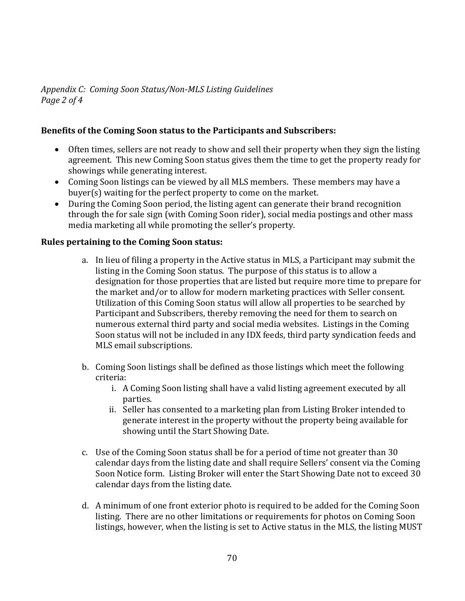*Appendix C: Coming Soon Status/Non-MLS Listing Guidelines Page 2 of 4*

## **Benefits of the Coming Soon status to the Participants and Subscribers:**

- Often times, sellers are not ready to show and sell their property when they sign the listing agreement. This new Coming Soon status gives them the time to get the property ready for showings while generating interest.
- Coming Soon listings can be viewed by all MLS members. These members may have a buyer(s) waiting for the perfect property to come on the market.
- During the Coming Soon period, the listing agent can generate their brand recognition through the for sale sign (with Coming Soon rider), social media postings and other mass media marketing all while promoting the seller's property.

## **Rules pertaining to the Coming Soon status:**

- a. In lieu of filing a property in the Active status in MLS, a Participant may submit the listing in the Coming Soon status. The purpose of this status is to allow a designation for those properties that are listed but require more time to prepare for the market and/or to allow for modern marketing practices with Seller consent. Utilization of this Coming Soon status will allow all properties to be searched by Participant and Subscribers, thereby removing the need for them to search on numerous external third party and social media websites. Listings in the Coming Soon status will not be included in any IDX feeds, third party syndication feeds and MLS email subscriptions.
- b. Coming Soon listings shall be defined as those listings which meet the following criteria:
	- i. A Coming Soon listing shall have a valid listing agreement executed by all parties.
	- ii. Seller has consented to a marketing plan from Listing Broker intended to generate interest in the property without the property being available for showing until the Start Showing Date.
- c. Use of the Coming Soon status shall be for a period of time not greater than 30 calendar days from the listing date and shall require Sellers' consent via the Coming Soon Notice form. Listing Broker will enter the Start Showing Date not to exceed 30 calendar days from the listing date.
- d. A minimum of one front exterior photo is required to be added for the Coming Soon listing. There are no other limitations or requirements for photos on Coming Soon listings, however, when the listing is set to Active status in the MLS, the listing MUST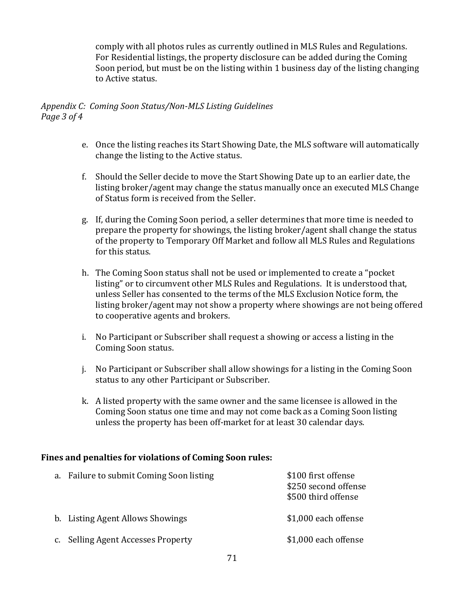comply with all photos rules as currently outlined in MLS Rules and Regulations. For Residential listings, the property disclosure can be added during the Coming Soon period, but must be on the listing within 1 business day of the listing changing to Active status.

### *Appendix C: Coming Soon Status/Non-MLS Listing Guidelines Page 3 of 4*

- e. Once the listing reaches its Start Showing Date, the MLS software will automatically change the listing to the Active status.
- f. Should the Seller decide to move the Start Showing Date up to an earlier date, the listing broker/agent may change the status manually once an executed MLS Change of Status form is received from the Seller.
- g. If, during the Coming Soon period, a seller determines that more time is needed to prepare the property for showings, the listing broker/agent shall change the status of the property to Temporary Off Market and follow all MLS Rules and Regulations for this status.
- h. The Coming Soon status shall not be used or implemented to create a "pocket listing" or to circumvent other MLS Rules and Regulations. It is understood that, unless Seller has consented to the terms of the MLS Exclusion Notice form, the listing broker/agent may not show a property where showings are not being offered to cooperative agents and brokers.
- i. No Participant or Subscriber shall request a showing or access a listing in the Coming Soon status.
- j. No Participant or Subscriber shall allow showings for a listing in the Coming Soon status to any other Participant or Subscriber.
- k. A listed property with the same owner and the same licensee is allowed in the Coming Soon status one time and may not come back as a Coming Soon listing unless the property has been off-market for at least 30 calendar days.

## **Fines and penalties for violations of Coming Soon rules:**

| a. Failure to submit Coming Soon listing | \$100 first offense<br>\$250 second offense<br>\$500 third offense |
|------------------------------------------|--------------------------------------------------------------------|
| b. Listing Agent Allows Showings         | \$1,000 each offense                                               |
| c. Selling Agent Accesses Property       | \$1,000 each offense                                               |